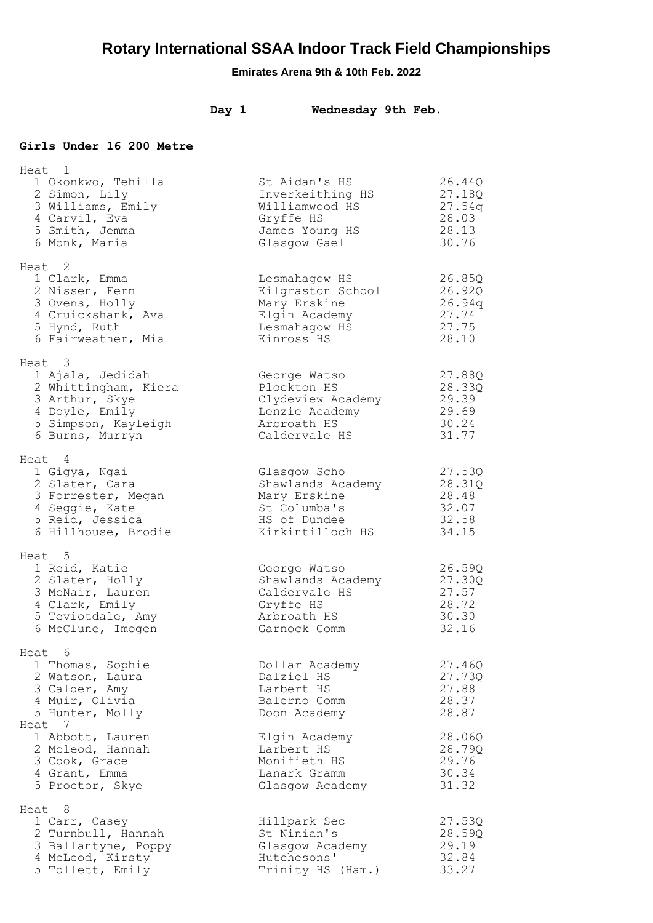| Day 1 | Wednesday 9th Feb. |  |  |
|-------|--------------------|--|--|
|-------|--------------------|--|--|

### **Girls Under 16 200 Metre**

| Heat 1                                                                                                                           |                                                                                                       |                                                       |
|----------------------------------------------------------------------------------------------------------------------------------|-------------------------------------------------------------------------------------------------------|-------------------------------------------------------|
| 1 Okonkwo, Tehilla<br>2 Simon, Lily<br>3 Williams, Emily<br>4 Carvil, Eva<br>5 Smith, Jemma<br>6 Monk, Maria                     | St Aidan's HS<br>Inverkeithing HS<br>Williamwood HS<br>Gryffe HS<br>James Young HS<br>Glasgow Gael    | 26.44Q<br>27.18Q<br>27.54q<br>28.03<br>28.13<br>30.76 |
| Heat 2<br>1 Clark, Emma<br>2 Nissen, Fern<br>3 Ovens, Holly<br>4 Cruickshank, Ava<br>5 Hynd, Ruth<br>6 Fairweather, Mia          | Lesmahagow HS<br>Kilgraston School<br>Mary Erskine<br>Elgin Academy<br>Lesmahagow HS<br>Kinross HS    | 26.85Q<br>26.92Q<br>26.94q<br>27.74<br>27.75<br>28.10 |
| Heat 3<br>1 Ajala, Jedidah<br>2 Whittingham, Kiera<br>3 Arthur, Skye<br>4 Doyle, Emily<br>5 Simpson, Kayleigh<br>6 Burns, Murryn | George Watso<br>Plockton HS<br>Clydeview Academy<br>Lenzie Academy<br>Arbroath HS<br>Caldervale HS    | 27.88Q<br>28.33Q<br>29.39<br>29.69<br>30.24<br>31.77  |
| Heat 4<br>1 Gigya, Ngai<br>2 Slater, Cara<br>3 Forrester, Megan<br>4 Seggie, Kate<br>5 Reid, Jessica<br>6 Hillhouse, Brodie      | Glasgow Scho<br>Shawlands Academy<br>Mary Erskine<br>St Columba's<br>HS of Dundee<br>Kirkintilloch HS | 27.53Q<br>28.31Q<br>28.48<br>32.07<br>32.58<br>34.15  |
| Heat 5<br>1 Reid, Katie<br>2 Slater, Holly<br>3 McNair, Lauren<br>4 Clark, Emily<br>5 Teviotdale, Amy<br>6 McClune, Imogen       | George Watso<br>Shawlands Academy<br>Caldervale HS<br>Gryffe HS<br>Arbroath HS<br>Garnock Comm        | 26.59Q<br>27.30Q<br>27.57<br>28.72<br>30.30<br>32.16  |
| Heat 6<br>1 Thomas, Sophie<br>2 Watson, Laura<br>3 Calder, Amy<br>4 Muir, Olivia<br>5 Hunter, Molly                              | Dollar Academy<br>Dalziel HS<br>Larbert HS<br>Balerno Comm<br>Doon Academy                            | 27.46Q<br>27.73Q<br>27.88<br>28.37<br>28.87           |
| Heat 7<br>1 Abbott, Lauren<br>2 Mcleod, Hannah<br>3 Cook, Grace<br>4 Grant, Emma<br>5 Proctor, Skye                              | Elgin Academy<br>Larbert HS<br>Monifieth HS<br>Lanark Gramm<br>Glasgow Academy                        | 28.06Q<br>28.79Q<br>29.76<br>30.34<br>31.32           |
| Heat 8<br>1 Carr, Casey<br>2 Turnbull, Hannah<br>3 Ballantyne, Poppy<br>4 McLeod, Kirsty<br>5 Tollett, Emily                     | Hillpark Sec<br>St Ninian's<br>Glasgow Academy<br>Hutchesons'<br>Trinity HS (Ham.)                    | 27.53Q<br>28.59Q<br>29.19<br>32.84<br>33.27           |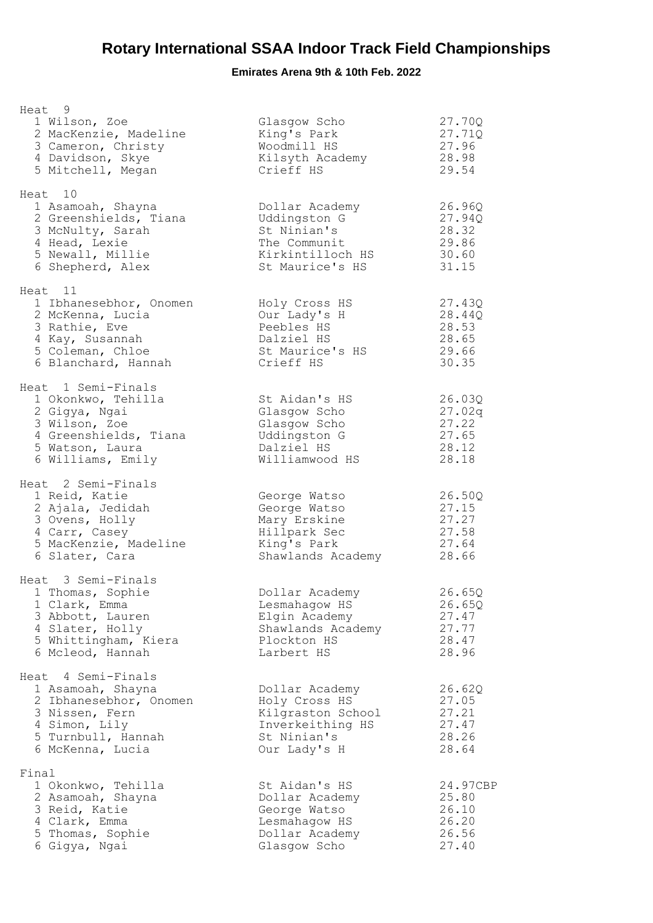| Heat 9<br>1 Wilson, Zoe<br>2 MacKenzie, Madeline<br>3 Cameron, Christy<br>4 Davidson, Skye<br>5 Mitchell, Megan                                | Glasgow Scho<br>King's Park<br>Woodmill HS<br>Kilsyth Academy<br>Crieff HS                              | 27.70Q<br>27.71Q<br>27.96<br>28.98<br>29.54           |
|------------------------------------------------------------------------------------------------------------------------------------------------|---------------------------------------------------------------------------------------------------------|-------------------------------------------------------|
| Heat 10<br>1 Asamoah, Shayna<br>2 Greenshields, Tiana<br>3 McNulty, Sarah<br>4 Head, Lexie<br>5 Newall, Millie<br>6 Shepherd, Alex             | Dollar Academy<br>Uddingston G<br>St Ninian's<br>The Communit<br>Kirkintilloch HS<br>St Maurice's HS    | 26.96Q<br>27.94Q<br>28.32<br>29.86<br>30.60<br>31.15  |
| Heat 11<br>1 Ibhanesebhor, Onomen<br>2 McKenna, Lucia<br>3 Rathie, Eve<br>4 Kay, Susannah<br>5 Coleman, Chloe<br>6 Blanchard, Hannah           | Holy Cross HS<br>Our Lady's H<br>Peebles HS<br>Dalziel HS<br>St Maurice's HS<br>Crieff HS               | 27.43Q<br>28.44Q<br>28.53<br>28.65<br>29.66<br>30.35  |
| Heat 1 Semi-Finals<br>1 Okonkwo, Tehilla<br>2 Gigya, Ngai<br>3 Wilson, Zoe<br>4 Greenshields, Tiana<br>5 Watson, Laura<br>6 Williams, Emily    | St Aidan's HS<br>Glasgow Scho<br>Glasgow Scho<br>Uddingston G<br>Dalziel HS<br>Williamwood HS           | 26.03Q<br>27.02q<br>27.22<br>27.65<br>28.12<br>28.18  |
| Heat 2 Semi-Finals<br>1 Reid, Katie<br>2 Ajala, Jedidah<br>3 Ovens, Holly<br>4 Carr, Casey<br>5 MacKenzie, Madeline<br>6 Slater, Cara          | George Watso<br>George Watso<br>Mary Erskine<br>Hillpark Sec<br>King's Park<br>Shawlands Academy        | 26.50Q<br>27.15<br>27.27<br>27.58<br>27.64<br>28.66   |
| Heat 3 Semi-Finals<br>1 Thomas, Sophie<br>1 Clark, Emma<br>3 Abbott, Lauren<br>4 Slater, Holly<br>5 Whittingham, Kiera<br>6 Mcleod, Hannah     | Dollar Academy<br>Lesmahagow HS<br>Elgin Academy<br>Shawlands Academy<br>Plockton HS<br>Larbert HS      | 26.65Q<br>26.65Q<br>27.47<br>27.77<br>28.47<br>28.96  |
| Heat 4 Semi-Finals<br>1 Asamoah, Shayna<br>2 Ibhanesebhor, Onomen<br>3 Nissen, Fern<br>4 Simon, Lily<br>5 Turnbull, Hannah<br>6 McKenna, Lucia | Dollar Academy<br>Holy Cross HS<br>Kilgraston School<br>Inverkeithing HS<br>St Ninian's<br>Our Lady's H | 26.62Q<br>27.05<br>27.21<br>27.47<br>28.26<br>28.64   |
| Final<br>1 Okonkwo, Tehilla<br>2 Asamoah, Shayna<br>3 Reid, Katie<br>4 Clark, Emma<br>5 Thomas, Sophie<br>6 Gigya, Ngai                        | St Aidan's HS<br>Dollar Academy<br>George Watso<br>Lesmahagow HS<br>Dollar Academy<br>Glasgow Scho      | 24.97CBP<br>25.80<br>26.10<br>26.20<br>26.56<br>27.40 |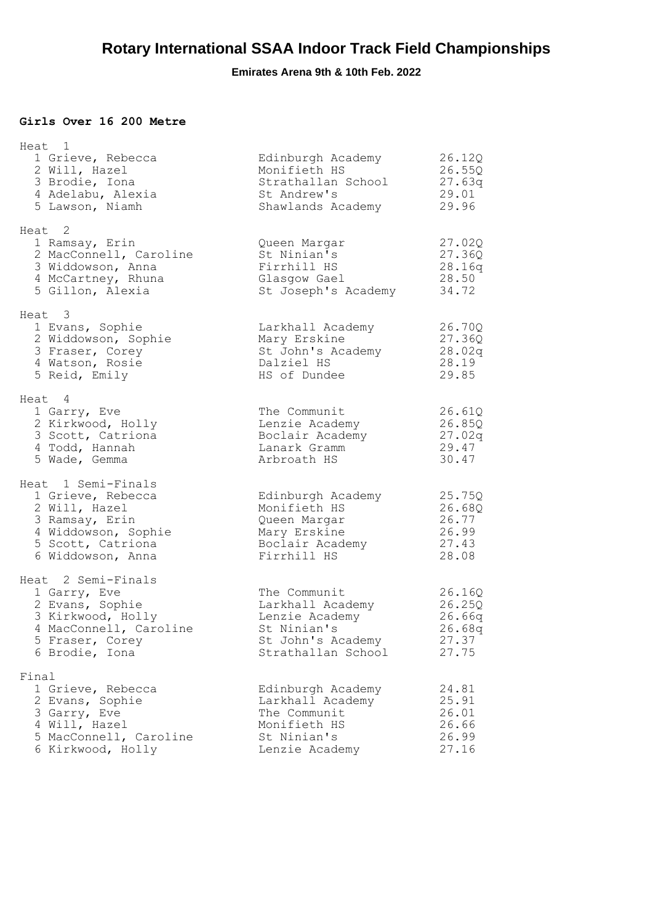### **Girls Over 16 200 Metre**

|       | Heat 1                 |                     |        |
|-------|------------------------|---------------------|--------|
|       | 1 Grieve, Rebecca      | Edinburgh Academy   | 26.12Q |
|       | 2 Will, Hazel          | Monifieth HS        | 26.55Q |
|       | 3 Brodie, Iona         | Strathallan School  | 27.63q |
|       | 4 Adelabu, Alexia      | St Andrew's         | 29.01  |
|       | 5 Lawson, Niamh        | Shawlands Academy   | 29.96  |
|       | Heat 2                 |                     |        |
|       | 1 Ramsay, Erin         | Queen Margar        | 27.02Q |
|       | 2 MacConnell, Caroline | St Ninian's         | 27.36Q |
|       | 3 Widdowson, Anna      | Firrhill HS         | 28.16q |
|       | 4 McCartney, Rhuna     | Glasgow Gael        | 28.50  |
|       | 5 Gillon, Alexia       | St Joseph's Academy | 34.72  |
|       | Heat 3                 |                     |        |
|       | 1 Evans, Sophie        | Larkhall Academy    | 26.70Q |
|       | 2 Widdowson, Sophie    | Mary Erskine        | 27.36Q |
|       | 3 Fraser, Corey        | St John's Academy   | 28.02q |
|       | 4 Watson, Rosie        | Dalziel HS          | 28.19  |
|       | 5 Reid, Emily          | HS of Dundee        | 29.85  |
|       | Heat 4                 |                     |        |
|       | 1 Garry, Eve           | The Communit        | 26.61Q |
|       | 2 Kirkwood, Holly      | Lenzie Academy      | 26.85Q |
|       | 3 Scott, Catriona      | Boclair Academy     | 27.02g |
|       | 4 Todd, Hannah         | Lanark Gramm        | 29.47  |
|       | 5 Wade, Gemma          | Arbroath HS         | 30.47  |
|       | Heat 1 Semi-Finals     |                     |        |
|       | 1 Grieve, Rebecca      | Edinburgh Academy   | 25.75Q |
|       | 2 Will, Hazel          | Monifieth HS        | 26.68Q |
|       | 3 Ramsay, Erin         | Queen Margar        | 26.77  |
|       | 4 Widdowson, Sophie    | Mary Erskine        | 26.99  |
|       | 5 Scott, Catriona      | Boclair Academy     | 27.43  |
|       | 6 Widdowson, Anna      | Firrhill HS         | 28.08  |
|       | Heat 2 Semi-Finals     |                     |        |
|       | 1 Garry, Eve           | The Communit        | 26.16Q |
|       | 2 Evans, Sophie        | Larkhall Academy    | 26.25Q |
|       | 3 Kirkwood, Holly      | Lenzie Academy      | 26.66q |
|       | 4 MacConnell, Caroline | St Ninian's         | 26.68q |
|       | 5 Fraser, Corey        | St John's Academy   | 27.37  |
|       | 6 Brodie, Iona         | Strathallan School  | 27.75  |
| Final |                        |                     |        |
|       | 1 Grieve, Rebecca      | Edinburgh Academy   | 24.81  |
|       | 2 Evans, Sophie        | Larkhall Academy    | 25.91  |
|       | 3 Garry, Eve           | The Communit        | 26.01  |
|       | 4 Will, Hazel          | Monifieth HS        | 26.66  |
|       | 5 MacConnell, Caroline | St Ninian's         | 26.99  |
|       | 6 Kirkwood, Holly      | Lenzie Academy      | 27.16  |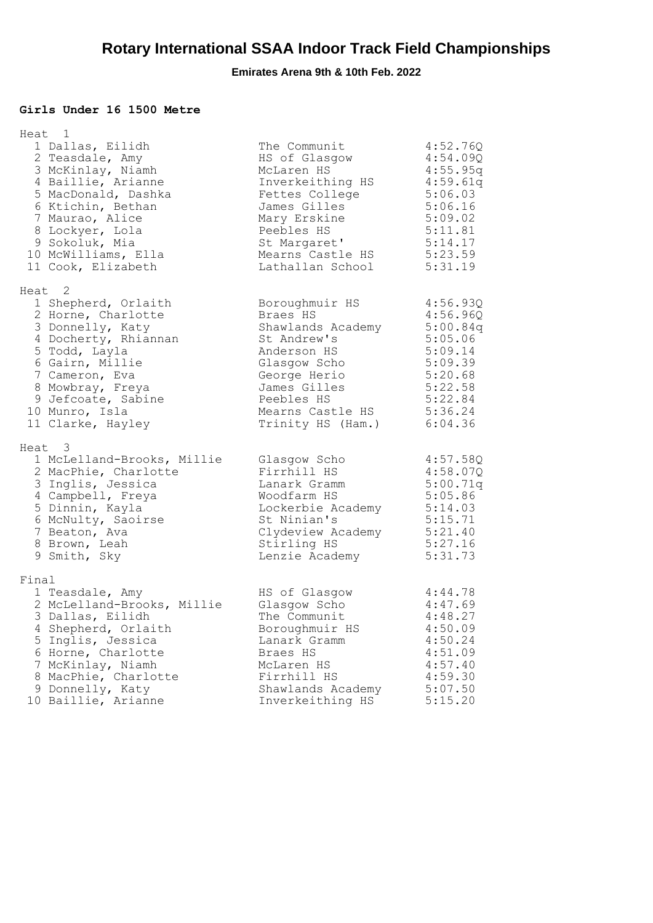#### **Girls Under 16 1500 Metre**

|       | Heat 1<br>1 Dallas, Eilidh<br>2 Teasdale, Amy<br>3 McKinlay, Niamh<br>4 Baillie, Arianne<br>5 MacDonald, Dashka<br>6 Ktichin, Bethan<br>7 Maurao, Alice<br>8 Lockyer, Lola                                                                        | The Communit<br>HS of Glasgow<br>McLaren HS<br>Inverkeithing HS<br>Fettes College<br>James Gilles<br>Mary Erskine<br>Peebles HS                                                                               | 4:52.76Q<br>4:54.09Q<br>4:55.95q<br>4:59.61q<br>5:06.03<br>5:06.16<br>5:09.02<br>5:11.81                   |
|-------|---------------------------------------------------------------------------------------------------------------------------------------------------------------------------------------------------------------------------------------------------|---------------------------------------------------------------------------------------------------------------------------------------------------------------------------------------------------------------|------------------------------------------------------------------------------------------------------------|
|       | 9 Sokoluk, Mia<br>10 McWilliams, Ella<br>11 Cook, Elizabeth                                                                                                                                                                                       | St Margaret'<br>Mearns Castle HS 5:23.59<br>Lathallan School                                                                                                                                                  | 5:14.17<br>5:31.19                                                                                         |
|       | Heat <sub>2</sub><br>1 Shepherd, Orlaith<br>2 Horne, Charlotte<br>3 Donnelly, Katy<br>4 Docherty, Rhiannan<br>5 Todd, Layla<br>6 Gairn, Millie<br>7 Cameron, Eva<br>8 Mowbray, Freya<br>9 Jefcoate, Sabine<br>10 Munro, Isla<br>11 Clarke, Hayley | Boroughmuir HS<br>Braes HS<br>Shawlands Academy 5:00.84q<br>St Andrew's<br>Anderson HS<br>Glasgow Scho<br>George Herio<br>James Gilles<br>Peebles HS<br>Mearns Castle HS 5:36.24<br>Trinity HS (Ham.) 6:04.36 | 4:56.93Q<br>4:56.96Q<br>5:05.06<br>5:09.14<br>5:09.39<br>5:20.68<br>5:22.58<br>5:22.84                     |
|       | Heat 3<br>1 McLelland-Brooks, Millie<br>2 MacPhie, Charlotte<br>3 Inglis, Jessica<br>4 Campbell, Freya<br>5 Dinnin, Kayla<br>6 McNulty, Saoirse<br>7 Beaton, Ava<br>8 Brown, Leah<br>9 Smith, Sky                                                 | Glasgow Scho<br>Firrhill HS<br>Lanark Gramm<br>Woodfarm HS<br>Lockerbie Academy<br>St Ninian's<br>Clydeview Academy<br>Stirling HS<br>Lenzie Academy                                                          | 4:57.58Q<br>4:58.07Q<br>5:00.71q<br>5:05.86<br>5:14.03<br>5:15.71<br>5:21.40<br>5:27.16<br>5:31.73         |
| Final | 1 Teasdale, Amy<br>2 McLelland-Brooks, Millie<br>3 Dallas, Eilidh<br>4 Shepherd, Orlaith<br>5 Inglis, Jessica<br>6 Horne, Charlotte<br>7 McKinlay, Niamh<br>8 MacPhie, Charlotte<br>9 Donnelly, Katy<br>10 Baillie, Arianne                       | HS of Glasgow<br>Glasgow Scho<br>The Communit<br>Boroughmuir HS<br>Lanark Gramm<br>Braes HS<br>McLaren HS<br>Firrhill HS<br>Shawlands Academy<br>Inverkeithing HS                                             | 4:44.78<br>4:47.69<br>4:48.27<br>4:50.09<br>4:50.24<br>4:51.09<br>4:57.40<br>4:59.30<br>5:07.50<br>5:15.20 |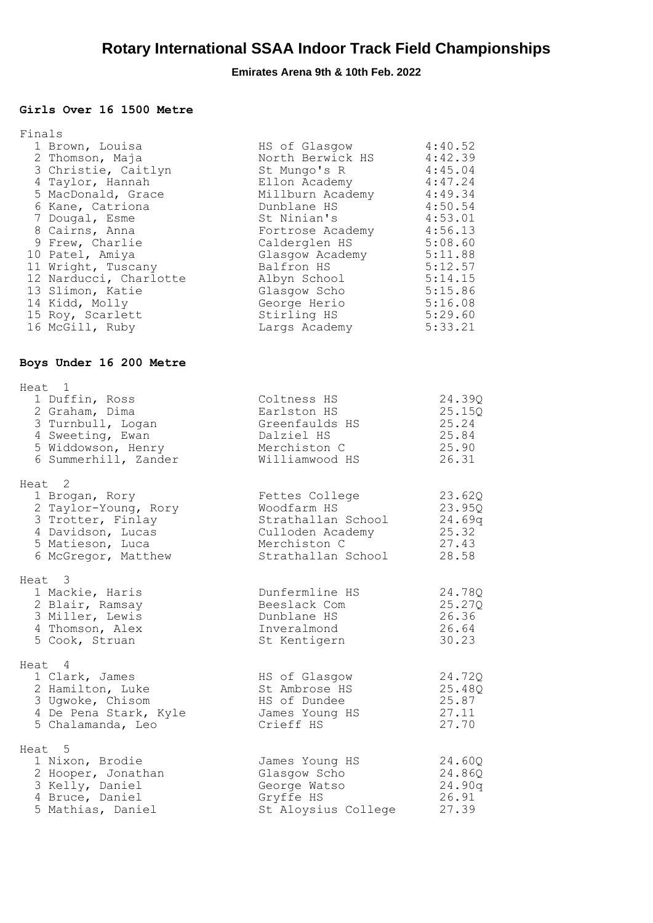### **Girls Over 16 1500 Metre**

| Finals<br>1 Brown, Louisa<br>2 Thomson, Maja<br>3 Christie, Caitlyn<br>4 Taylor, Hannah<br>5 MacDonald, Grace<br>6 Kane, Catriona<br>7 Dougal, Esme<br>8 Cairns, Anna<br>9 Frew, Charlie<br>10 Patel, Amiya<br>11 Wright, Tuscany<br>12 Narducci, Charlotte<br>13 Slimon, Katie<br>14 Kidd, Molly<br>15 Roy, Scarlett | HS of Glasgow<br>North Berwick HS<br>St Mungo's R<br>Ellon Academy<br>Millburn Academy<br>Dunblane HS<br>St Ninian's<br>Fortrose Academy<br>Calderglen HS<br>Glasgow Academy<br>Balfron HS<br>Albyn School<br>Glasgow Scho<br>George Herio<br>Stirling HS | 4:40.52<br>4:42.39<br>4:45.04<br>4:47.24<br>4:49.34<br>4:50.54<br>4:53.01<br>4:56.13<br>5:08.60<br>5:11.88<br>5:12.57<br>5:14.15<br>5:15.86<br>5:16.08<br>5:29.60 |
|-----------------------------------------------------------------------------------------------------------------------------------------------------------------------------------------------------------------------------------------------------------------------------------------------------------------------|-----------------------------------------------------------------------------------------------------------------------------------------------------------------------------------------------------------------------------------------------------------|-------------------------------------------------------------------------------------------------------------------------------------------------------------------|
| 16 McGill, Ruby                                                                                                                                                                                                                                                                                                       | Largs Academy                                                                                                                                                                                                                                             | 5:33.21                                                                                                                                                           |
| Boys Under 16 200 Metre                                                                                                                                                                                                                                                                                               |                                                                                                                                                                                                                                                           |                                                                                                                                                                   |
| Heat 1<br>1 Duffin, Ross<br>2 Graham, Dima<br>3 Turnbull, Logan<br>4 Sweeting, Ewan<br>5 Widdowson, Henry<br>6 Summerhill, Zander                                                                                                                                                                                     | Coltness HS<br>Earlston HS<br>Greenfaulds HS<br>Dalziel HS<br>Merchiston C<br>Williamwood HS                                                                                                                                                              | 24.39Q<br>25.15Q<br>25.24<br>25.84<br>25.90<br>26.31                                                                                                              |
| Heat 2<br>1 Brogan, Rory<br>2 Taylor-Young, Rory<br>3 Trotter, Finlay<br>4 Davidson, Lucas<br>5 Matieson, Luca<br>6 McGregor, Matthew                                                                                                                                                                                 | Fettes College<br>Woodfarm HS<br>Strathallan School<br>Culloden Academy<br>Merchiston C<br>Strathallan School                                                                                                                                             | 23.62Q<br>23.95Q<br>24.69q<br>25.32<br>27.43<br>28.58                                                                                                             |
| Heat 3<br>1 Mackie, Haris<br>2 Blair, Ramsay<br>3 Miller, Lewis<br>4 Thomson, Alex<br>5 Cook, Struan                                                                                                                                                                                                                  | Dunfermline HS<br>Beeslack Com<br>Dunblane HS<br>Inveralmond<br>St Kentigern                                                                                                                                                                              | 24.78Q<br>25.27Q<br>26.36<br>26.64<br>30.23                                                                                                                       |
| Heat 4<br>1 Clark, James<br>2 Hamilton, Luke<br>3 Ugwoke, Chisom<br>4 De Pena Stark, Kyle<br>5 Chalamanda, Leo                                                                                                                                                                                                        | HS of Glasgow<br>St Ambrose HS<br>HS of Dundee<br>James Young HS<br>Crieff HS                                                                                                                                                                             | 24.72Q<br>25.48Q<br>25.87<br>27.11<br>27.70                                                                                                                       |
| Heat 5<br>1 Nixon, Brodie<br>2 Hooper, Jonathan<br>3 Kelly, Daniel<br>4 Bruce, Daniel<br>5 Mathias, Daniel                                                                                                                                                                                                            | James Young HS<br>Glasgow Scho<br>George Watso<br>Gryffe HS<br>St Aloysius College                                                                                                                                                                        | 24.60Q<br>24.86Q<br>24.90q<br>26.91<br>27.39                                                                                                                      |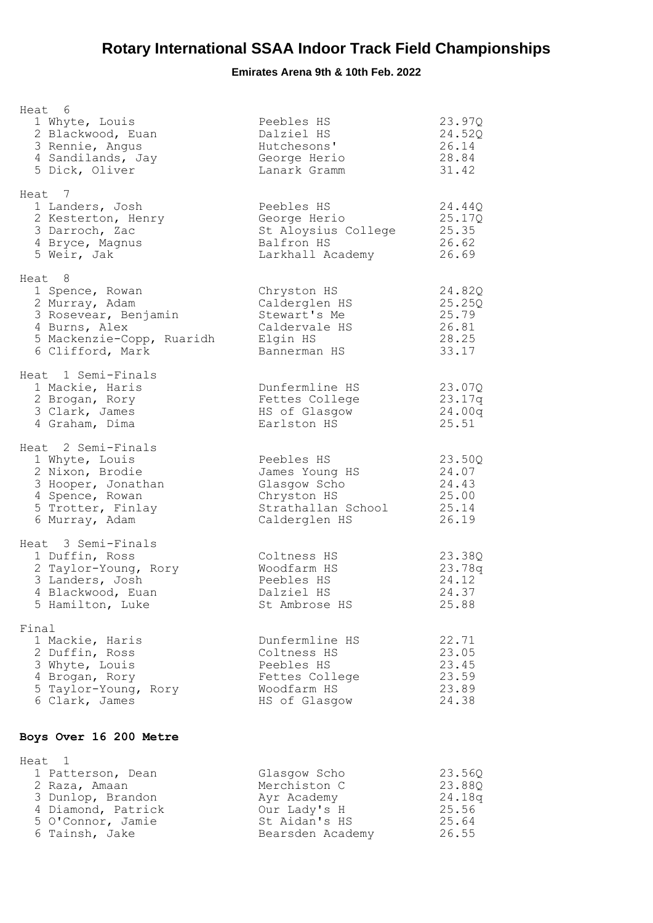| Heat 6<br>1 Whyte, Louis<br>2 Blackwood, Euan<br>3 Rennie, Angus<br>4 Sandilands, Jay<br>5 Dick, Oliver                                 | Peebles HS<br>Dalziel HS<br>Hutchesons'<br>George Herio<br>Lanark Gramm                            | 23.97Q<br>24.52Q<br>26.14<br>28.84<br>31.42          |
|-----------------------------------------------------------------------------------------------------------------------------------------|----------------------------------------------------------------------------------------------------|------------------------------------------------------|
| Heat 7<br>1 Landers, Josh<br>2 Kesterton, Henry<br>3 Darroch, Zac<br>4 Bryce, Magnus<br>5 Weir, Jak                                     | Peebles HS<br>George Herio<br>St Aloysius College<br>Balfron HS<br>Larkhall Academy                | 24.44Q<br>25.17Q<br>25.35<br>26.62<br>26.69          |
| Heat 8<br>1 Spence, Rowan<br>2 Murray, Adam<br>3 Rosevear, Benjamin<br>4 Burns, Alex<br>5 Mackenzie-Copp, Ruaridh<br>6 Clifford, Mark   | Chryston HS<br>Calderglen HS<br>Stewart's Me<br>Caldervale HS<br>Elgin HS<br>Bannerman HS          | 24.82Q<br>25.25Q<br>25.79<br>26.81<br>28.25<br>33.17 |
| Heat 1 Semi-Finals<br>1 Mackie, Haris<br>2 Brogan, Rory<br>3 Clark, James<br>4 Graham, Dima                                             | Dunfermline HS<br>Fettes College<br>HS of Glasgow<br>Earlston HS                                   | 23.07Q<br>23.17q<br>24.00q<br>25.51                  |
| Heat 2 Semi-Finals<br>1 Whyte, Louis<br>2 Nixon, Brodie<br>3 Hooper, Jonathan<br>4 Spence, Rowan<br>5 Trotter, Finlay<br>6 Murray, Adam | Peebles HS<br>James Young HS<br>Glasgow Scho<br>Chryston HS<br>Strathallan School<br>Calderglen HS | 23.50Q<br>24.07<br>24.43<br>25.00<br>25.14<br>26.19  |
| Heat 3 Semi-Finals<br>1 Duffin, Ross<br>2 Taylor-Young, Rory<br>3 Landers, Josh<br>4 Blackwood, Euan<br>5 Hamilton, Luke                | Coltness HS<br>Woodfarm HS<br>Peebles HS<br>Dalziel HS<br>St Ambrose HS                            | 23.38Q<br>23.78g<br>24.12<br>24.37<br>25.88          |
| Final<br>1 Mackie, Haris<br>2 Duffin, Ross<br>3 Whyte, Louis<br>4 Brogan, Rory<br>5 Taylor-Young, Rory<br>6 Clark, James                | Dunfermline HS<br>Coltness HS<br>Peebles HS<br>Fettes College<br>Woodfarm HS<br>HS of Glasgow      | 22.71<br>23.05<br>23.45<br>23.59<br>23.89<br>24.38   |
| Boys Over 16 200 Metre                                                                                                                  |                                                                                                    |                                                      |
| Heat<br>1<br>$\mathbf{1}$<br>Dattorson Doan                                                                                             | $C1$ aggraw $Scho$                                                                                 | 23.560                                               |

| Glasgow Scho     | 23.560 |
|------------------|--------|
| Merchiston C     | 23.880 |
| Ayr Academy      | 24.18q |
| Our Lady's H     | 25.56  |
| St Aidan's HS    | 25.64  |
| Bearsden Academy | 26.55  |
|                  |        |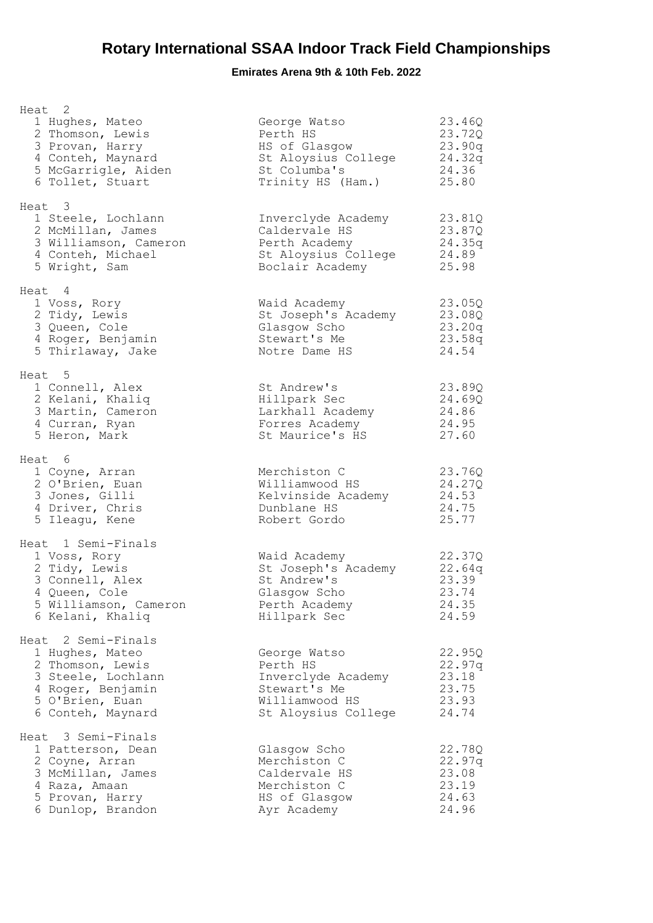| Heat 2<br>1 Hughes, Mateo<br>2 Thomson, Lewis<br>3 Provan, Harry<br>4 Conteh, Maynard<br>5 McGarrigle, Aiden<br>6 Tollet, Stuart             | George Watso<br>Perth HS<br>HS of Glasgow<br>St Aloysius College<br>St Columba's<br>Trinity HS (Ham.)   | 23.46Q<br>23.72Q<br>23.90q<br>24.32q<br>24.36<br>25.80 |
|----------------------------------------------------------------------------------------------------------------------------------------------|---------------------------------------------------------------------------------------------------------|--------------------------------------------------------|
| Heat 3<br>1 Steele, Lochlann<br>2 McMillan, James<br>3 Williamson, Cameron<br>4 Conteh, Michael<br>5 Wright, Sam                             | Inverclyde Academy<br>Caldervale HS<br>Perth Academy<br>St Aloysius College<br>Boclair Academy          | 23.81Q<br>23.87Q<br>24.35q<br>24.89<br>25.98           |
| Heat 4<br>1 Voss, Rory<br>2 Tidy, Lewis<br>3 Queen, Cole<br>4 Roger, Benjamin<br>5 Thirlaway, Jake                                           | Waid Academy<br>St Joseph's Academy<br>Glasgow Scho<br>Stewart's Me<br>Notre Dame HS                    | 23.05Q<br>23.08Q<br>23.20q<br>23.58q<br>24.54          |
| Heat 5<br>1 Connell, Alex<br>2 Kelani, Khaliq<br>3 Martin, Cameron<br>4 Curran, Ryan<br>5 Heron, Mark                                        | St Andrew's<br>Hillpark Sec<br>Larkhall Academy<br>Forres Academy<br>St Maurice's HS                    | 23.89Q<br>24.69Q<br>24.86<br>24.95<br>27.60            |
| Heat 6<br>1 Coyne, Arran<br>2 O'Brien, Euan<br>3 Jones, Gilli<br>4 Driver, Chris<br>5 Ileagu, Kene                                           | Merchiston C<br>Williamwood HS<br>Kelvinside Academy<br>Dunblane HS<br>Robert Gordo                     | 23.76Q<br>24.27Q<br>24.53<br>24.75<br>25.77            |
| Heat 1 Semi-Finals<br>1 Voss, Rory<br>2 Tidy, Lewis<br>3 Connell, Alex<br>4 Queen, Cole<br>5 Williamson, Cameron<br>6 Kelani, Khaliq         | Waid Academy<br>St Joseph's Academy<br>St Andrew's<br>Glasgow Scho<br>Perth Academy<br>Hillpark Sec     | 22.37Q<br>22.64q<br>23.39<br>23.74<br>24.35<br>24.59   |
| Heat 2 Semi-Finals<br>1 Hughes, Mateo<br>2 Thomson, Lewis<br>3 Steele, Lochlann<br>4 Roger, Benjamin<br>5 O'Brien, Euan<br>6 Conteh, Maynard | George Watso<br>Perth HS<br>Inverclyde Academy<br>Stewart's Me<br>Williamwood HS<br>St Aloysius College | 22.95Q<br>22.97q<br>23.18<br>23.75<br>23.93<br>24.74   |
| Heat 3 Semi-Finals<br>1 Patterson, Dean<br>2 Coyne, Arran<br>3 McMillan, James<br>4 Raza, Amaan<br>5 Provan, Harry<br>6 Dunlop, Brandon      | Glasgow Scho<br>Merchiston C<br>Caldervale HS<br>Merchiston C<br>HS of Glasgow<br>Ayr Academy           | 22.78Q<br>22.97q<br>23.08<br>23.19<br>24.63<br>24.96   |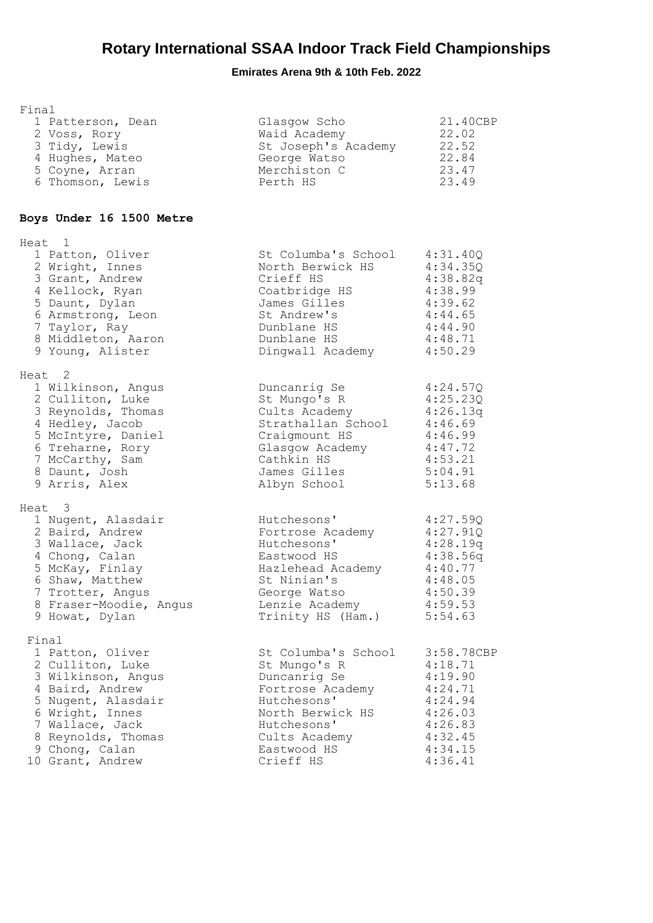| Final                                                                                                                                                                                                          |                                                                                                                                                                        |                                                                                                               |
|----------------------------------------------------------------------------------------------------------------------------------------------------------------------------------------------------------------|------------------------------------------------------------------------------------------------------------------------------------------------------------------------|---------------------------------------------------------------------------------------------------------------|
| 1 Patterson, Dean<br>2 Voss, Rory<br>3 Tidy, Lewis<br>4 Hughes, Mateo<br>5 Coyne, Arran<br>6 Thomson, Lewis                                                                                                    | Glasgow Scho<br>Waid Academy<br>St Joseph's Academy<br>George Watso<br>Merchiston C<br>Perth HS                                                                        | 21.40CBP<br>22.02<br>22.52<br>22.84<br>23.47<br>23.49                                                         |
| Boys Under 16 1500 Metre                                                                                                                                                                                       |                                                                                                                                                                        |                                                                                                               |
| Heat 1<br>1 Patton, Oliver<br>2 Wright, Innes<br>3 Grant, Andrew<br>4 Kellock, Ryan<br>5 Daunt, Dylan<br>6 Armstrong, Leon<br>7 Taylor, Ray<br>8 Middleton, Aaron<br>9 Young, Alister                          | St Columba's School<br>North Berwick HS<br>Crieff HS<br>Coatbridge HS<br>James Gilles<br>St Andrew's<br>Dunblane HS<br>Dunblane HS<br>Dingwall Academy                 | 4:31.40Q<br>4:34.35Q<br>4:38.82q<br>4:38.99<br>4:39.62<br>4:44.65<br>4:44.90<br>4:48.71<br>4:50.29            |
| Heat 2<br>1 Wilkinson, Angus<br>2 Culliton, Luke<br>3 Reynolds, Thomas<br>4 Hedley, Jacob<br>5 McIntyre, Daniel<br>6 Treharne, Rory<br>7 McCarthy, Sam<br>8 Daunt, Josh<br>9 Arris, Alex                       | Duncanrig Se<br>St Mungo's R<br>Cults Academy<br>Strathallan School<br>Craigmount HS<br>Glasgow Academy<br>Cathkin HS<br>James Gilles<br>Albyn School                  | 4:24.57Q<br>4:25.23Q<br>4:26.13q<br>4:46.69<br>4:46.99<br>4:47.72<br>4:53.21<br>5:04.91<br>5:13.68            |
| Heat 3<br>1 Nugent, Alasdair<br>2 Baird, Andrew<br>3 Wallace, Jack<br>4 Chong, Calan<br>5 McKay, Finlay<br>6 Shaw, Matthew<br>7 Trotter, Angus<br>8 Fraser-Moodie, Angus<br>9 Howat, Dylan                     | Hutchesons'<br>Fortrose Academy<br>Hutchesons'<br>Eastwood HS<br>Hazlehead Academy<br>St Ninian's<br>George Watso<br>Lenzie Academy<br>Trinity HS (Ham.)               | 4:27.59Q<br>4:27.91Q<br>4:28.19q<br>4:38.56q<br>4:40.77<br>4:48.05<br>4:50.39<br>4:59.53<br>5:54.63           |
| Final<br>1 Patton, Oliver<br>2 Culliton, Luke<br>3 Wilkinson, Angus<br>4 Baird, Andrew<br>5 Nugent, Alasdair<br>6 Wright, Innes<br>7 Wallace, Jack<br>8 Reynolds, Thomas<br>9 Chong, Calan<br>10 Grant, Andrew | St Columba's School<br>St Mungo's R<br>Duncanrig Se<br>Fortrose Academy<br>Hutchesons'<br>North Berwick HS<br>Hutchesons'<br>Cults Academy<br>Eastwood HS<br>Crieff HS | 3:58.78CBP<br>4:18.71<br>4:19.90<br>4:24.71<br>4:24.94<br>4:26.03<br>4:26.83<br>4:32.45<br>4:34.15<br>4:36.41 |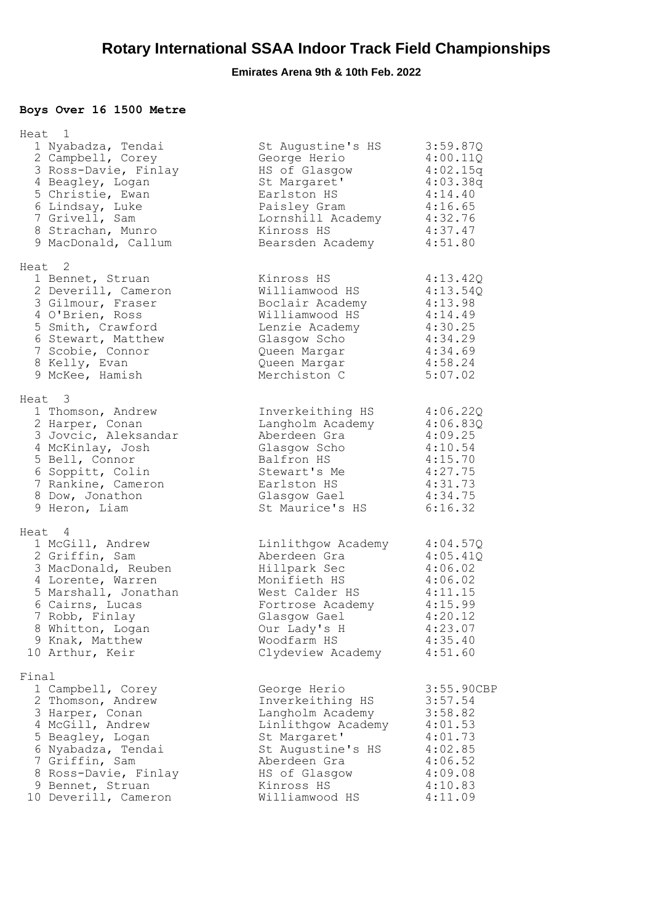## **Boys Over 16 1500 Metre**

|       | Heat 1               |                    |            |
|-------|----------------------|--------------------|------------|
|       | 1 Nyabadza, Tendai   | St Augustine's HS  | 3:59.87Q   |
|       | 2 Campbell, Corey    | George Herio       | 4:00.11Q   |
|       | 3 Ross-Davie, Finlay | HS of Glasgow      | 4:02.15q   |
|       | 4 Beagley, Logan     | St Margaret'       | 4:03.38q   |
|       | 5 Christie, Ewan     | Earlston HS        | 4:14.40    |
|       | 6 Lindsay, Luke      | Paisley Gram       | 4:16.65    |
|       | 7 Grivell, Sam       | Lornshill Academy  | 4:32.76    |
|       | 8 Strachan, Munro    | Kinross HS         | 4:37.47    |
|       | 9 MacDonald, Callum  | Bearsden Academy   | 4:51.80    |
|       | Heat <sub>2</sub>    |                    |            |
|       | 1 Bennet, Struan     | Kinross HS         | 4:13.42Q   |
|       | 2 Deverill, Cameron  | Williamwood HS     | 4:13.54Q   |
|       | 3 Gilmour, Fraser    | Boclair Academy    | 4:13.98    |
|       | 4 O'Brien, Ross      | Williamwood HS     | 4:14.49    |
|       | 5 Smith, Crawford    | Lenzie Academy     | 4:30.25    |
|       | 6 Stewart, Matthew   | Glasgow Scho       | 4:34.29    |
|       | 7 Scobie, Connor     | Queen Margar       | 4:34.69    |
|       | 8 Kelly, Evan        | Queen Margar       | 4:58.24    |
|       | 9 McKee, Hamish      | Merchiston C       | 5:07.02    |
|       | Heat 3               |                    |            |
|       | 1 Thomson, Andrew    | Inverkeithing HS   | 4:06.22Q   |
|       | 2 Harper, Conan      | Langholm Academy   | 4:06.83Q   |
|       | 3 Jovcic, Aleksandar | Aberdeen Gra       | 4:09.25    |
|       | 4 McKinlay, Josh     | Glasgow Scho       | 4:10.54    |
|       | 5 Bell, Connor       | Balfron HS         | 4:15.70    |
|       | 6 Soppitt, Colin     | Stewart's Me       | 4:27.75    |
|       | 7 Rankine, Cameron   | Earlston HS        | 4:31.73    |
|       | 8 Dow, Jonathon      | Glasgow Gael       | 4:34.75    |
|       | 9 Heron, Liam        | St Maurice's HS    | 6:16.32    |
|       | Heat 4               |                    |            |
|       | 1 McGill, Andrew     | Linlithgow Academy | 4:04.57Q   |
|       | 2 Griffin, Sam       | Aberdeen Gra       | 4:05.41Q   |
|       | 3 MacDonald, Reuben  | Hillpark Sec       | 4:06.02    |
|       | 4 Lorente, Warren    | Monifieth HS       | 4:06.02    |
|       | 5 Marshall, Jonathan | West Calder HS     | 4:11.15    |
|       | 6 Cairns, Lucas      | Fortrose Academy   | 4:15.99    |
|       | 7 Robb, Finlay       | Glasgow Gael       | 4:20.12    |
|       | 8 Whitton, Logan     | Our Lady's H       | 4:23.07    |
|       | 9 Knak, Matthew      | Woodfarm HS        | 4:35.40    |
|       | 10 Arthur, Keir      | Clydeview Academy  | 4:51.60    |
| Final |                      |                    |            |
|       | 1 Campbell, Corey    | George Herio       | 3:55.90CBP |
|       | 2 Thomson, Andrew    | Inverkeithing HS   | 3:57.54    |
|       | 3 Harper, Conan      | Langholm Academy   | 3:58.82    |
|       | 4 McGill, Andrew     | Linlithgow Academy | 4:01.53    |
|       | 5 Beagley, Logan     | St Margaret'       | 4:01.73    |
|       | 6 Nyabadza, Tendai   | St Augustine's HS  | 4:02.85    |
|       | 7 Griffin, Sam       | Aberdeen Gra       | 4:06.52    |
|       | 8 Ross-Davie, Finlay | HS of Glasgow      | 4:09.08    |
|       | 9 Bennet, Struan     | Kinross HS         | 4:10.83    |
|       | 10 Deverill, Cameron | Williamwood HS     | 4:11.09    |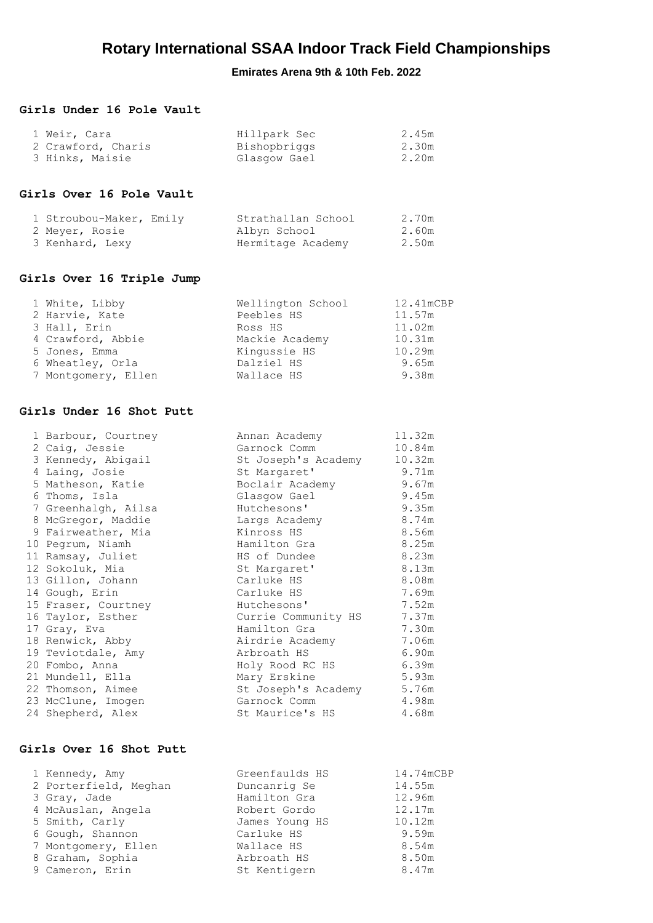#### **Girls Under 16 Pole Vault**

| 1 Weir, Cara       | Hillpark Sec | 2.45m |
|--------------------|--------------|-------|
| 2 Crawford, Charis | Bishopbriggs | 2.30m |
| 3 Hinks, Maisie    | Glasqow Gael | 2.20m |

#### **Girls Over 16 Pole Vault**

| 1 Stroubou-Maker, Emily | Strathallan School | 2.70m |
|-------------------------|--------------------|-------|
| 2 Meyer, Rosie          | Albyn School       | 2.60m |
| 3 Kenhard, Lexy         | Hermitage Academy  | 2.50m |

#### **Girls Over 16 Triple Jump**

| 1 White, Libby      | Wellington School | 12.41mCBP |
|---------------------|-------------------|-----------|
| 2 Harvie, Kate      | Peebles HS        | 11.57m    |
| 3 Hall, Erin        | Ross HS           | 11.02m    |
| 4 Crawford, Abbie   | Mackie Academy    | 10.31m    |
| 5 Jones, Emma       | Kingussie HS      | 10.29m    |
| 6 Wheatley, Orla    | Dalziel HS        | 9.65m     |
| 7 Montgomery, Ellen | Wallace HS        | 9.38m     |

#### **Girls Under 16 Shot Putt**

| 1 Barbour, Courtney | Annan Academy       | 11.32m |
|---------------------|---------------------|--------|
| 2 Caig, Jessie      | Garnock Comm        | 10.84m |
| 3 Kennedy, Abigail  | St Joseph's Academy | 10.32m |
| 4 Laing, Josie      | St Margaret'        | 9.71m  |
| 5 Matheson, Katie   | Boclair Academy     | 9.67m  |
| 6 Thoms, Isla       | Glasgow Gael        | 9.45m  |
| 7 Greenhalgh, Ailsa | Hutchesons'         | 9.35m  |
| 8 McGregor, Maddie  | Largs Academy       | 8.74m  |
| 9 Fairweather, Mia  | Kinross HS          | 8.56m  |
| 10 Pegrum, Niamh    | Hamilton Gra        | 8.25m  |
| 11 Ramsay, Juliet   | HS of Dundee        | 8.23m  |
| 12 Sokoluk, Mia     | St Margaret'        | 8.13m  |
| 13 Gillon, Johann   | Carluke HS          | 8.08m  |
| 14 Gough, Erin      | Carluke HS          | 7.69m  |
| 15 Fraser, Courtney | Hutchesons'         | 7.52m  |
| 16 Taylor, Esther   | Currie Community HS | 7.37m  |
| 17 Gray, Eva        | Hamilton Gra        | 7.30m  |
| 18 Renwick, Abby    | Airdrie Academy     | 7.06m  |
| 19 Teviotdale, Amy  | Arbroath HS         | 6.90m  |
| 20 Fombo, Anna      | Holy Rood RC HS     | 6.39m  |
| 21 Mundell, Ella    | Mary Erskine        | 5.93m  |
| 22 Thomson, Aimee   | St Joseph's Academy | 5.76m  |
| 23 McClune, Imogen  | Garnock Comm        | 4.98m  |
| 24 Shepherd, Alex   | St Maurice's HS     | 4.68m  |

#### **Girls Over 16 Shot Putt**

| 1 Kennedy, Amy        | Greenfaulds HS | 14.74mCBP |
|-----------------------|----------------|-----------|
| 2 Porterfield, Meghan | Duncanrig Se   | 14.55m    |
| 3 Gray, Jade          | Hamilton Gra   | 12.96m    |
| 4 McAuslan, Angela    | Robert Gordo   | 12.17m    |
| 5 Smith, Carly        | James Young HS | 10.12m    |
| 6 Gough, Shannon      | Carluke HS     | 9.59m     |
| 7 Montgomery, Ellen   | Wallace HS     | 8.54m     |
| 8 Graham, Sophia      | Arbroath HS    | 8.50m     |
| 9 Cameron, Erin       | St Kentigern   | 8.47m     |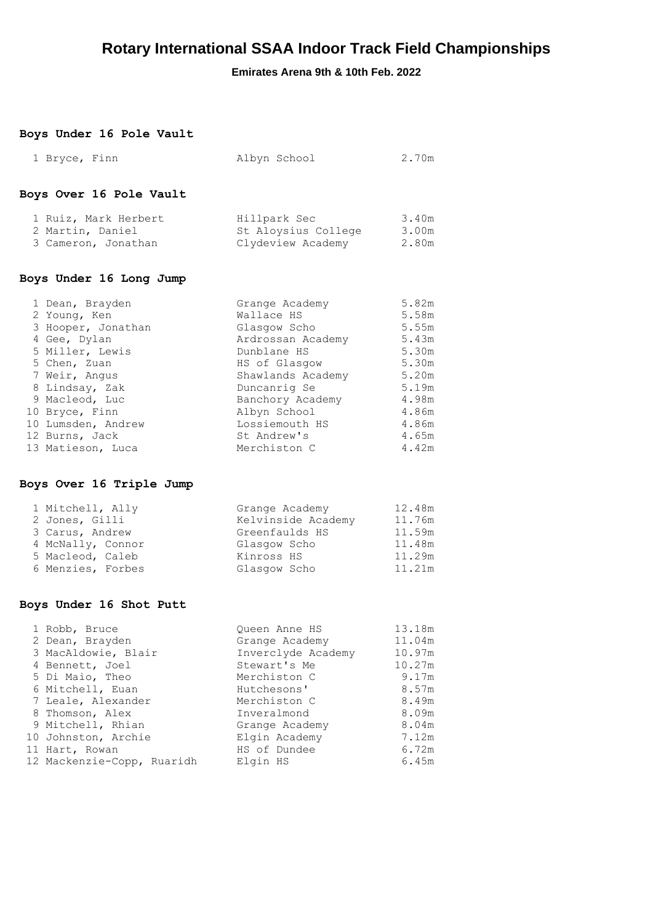### **Emirates Arena 9th & 10th Feb. 2022**

### **Boys Under 16 Pole Vault**

| 1 Bryce, Finn                                                   | Albyn School                                             | 2.70m                   |
|-----------------------------------------------------------------|----------------------------------------------------------|-------------------------|
| Boys Over 16 Pole Vault                                         |                                                          |                         |
| 1 Ruiz, Mark Herbert<br>2 Martin, Daniel<br>3 Cameron, Jonathan | Hillpark Sec<br>St Aloysius College<br>Clydeview Academy | 3.40m<br>3.00m<br>2.80m |

### **Boys Under 16 Long Jump**

| 1 Dean, Brayden    | Grange Academy    | 5.82m |
|--------------------|-------------------|-------|
| 2 Young, Ken       | Wallace HS        | 5.58m |
| 3 Hooper, Jonathan | Glasgow Scho      | 5.55m |
| 4 Gee, Dylan       | Ardrossan Academy | 5.43m |
| 5 Miller, Lewis    | Dunblane HS       | 5.30m |
| 5 Chen, Zuan       | HS of Glasgow     | 5.30m |
| 7 Weir, Angus      | Shawlands Academy | 5.20m |
| 8 Lindsay, Zak     | Duncanrig Se      | 5.19m |
| 9 Macleod, Luc     | Banchory Academy  | 4.98m |
| 10 Bryce, Finn     | Albyn School      | 4.86m |
| 10 Lumsden, Andrew | Lossiemouth HS    | 4.86m |
| 12 Burns, Jack     | St Andrew's       | 4.65m |
| 13 Matieson, Luca  | Merchiston C      | 4.42m |

### **Boys Over 16 Triple Jump**

| Grange Academy     | 12.48m |
|--------------------|--------|
| Kelvinside Academy | 11.76m |
| Greenfaulds HS     | 11.59m |
| Glasgow Scho       | 11.48m |
| Kinross HS         | 11.29m |
| Glasgow Scho       | 11.21m |
|                    |        |

#### **Boys Under 16 Shot Putt**

| 1 Robb, Bruce              | Oueen Anne HS      | 13.18m |
|----------------------------|--------------------|--------|
| 2 Dean, Brayden            | Grange Academy     | 11.04m |
| 3 MacAldowie, Blair        | Inverclyde Academy | 10.97m |
| 4 Bennett, Joel            | Stewart's Me       | 10.27m |
| 5 Di Maio, Theo            | Merchiston C       | 9.17m  |
| 6 Mitchell, Euan           | Hutchesons'        | 8.57m  |
| 7 Leale, Alexander         | Merchiston C       | 8.49m  |
| 8 Thomson, Alex            | Inveralmond        | 8.09m  |
| 9 Mitchell, Rhian          | Grange Academy     | 8.04m  |
| 10 Johnston, Archie        | Elgin Academy      | 7.12m  |
| 11 Hart, Rowan             | HS of Dundee       | 6.72m  |
| 12 Mackenzie-Copp, Ruaridh | Elgin HS           | 6.45m  |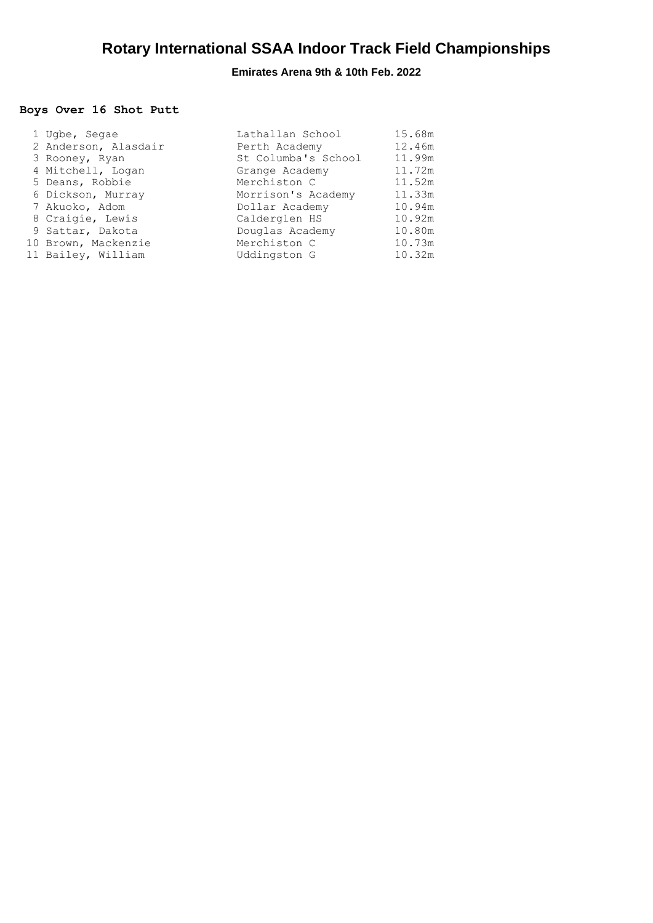## **Boys Over 16 Shot Putt**

| 1 Ugbe, Segae        | Lathallan School    | 15.68m |
|----------------------|---------------------|--------|
| 2 Anderson, Alasdair | Perth Academy       | 12.46m |
| 3 Rooney, Ryan       | St Columba's School | 11.99m |
| 4 Mitchell, Logan    | Grange Academy      | 11.72m |
| 5 Deans, Robbie      | Merchiston C        | 11.52m |
| 6 Dickson, Murray    | Morrison's Academy  | 11.33m |
| 7 Akuoko, Adom       | Dollar Academy      | 10.94m |
| 8 Craigie, Lewis     | Calderglen HS       | 10.92m |
| 9 Sattar, Dakota     | Douglas Academy     | 10.80m |
| 10 Brown, Mackenzie  | Merchiston C        | 10.73m |
| 11 Bailey, William   | Uddingston G        | 10.32m |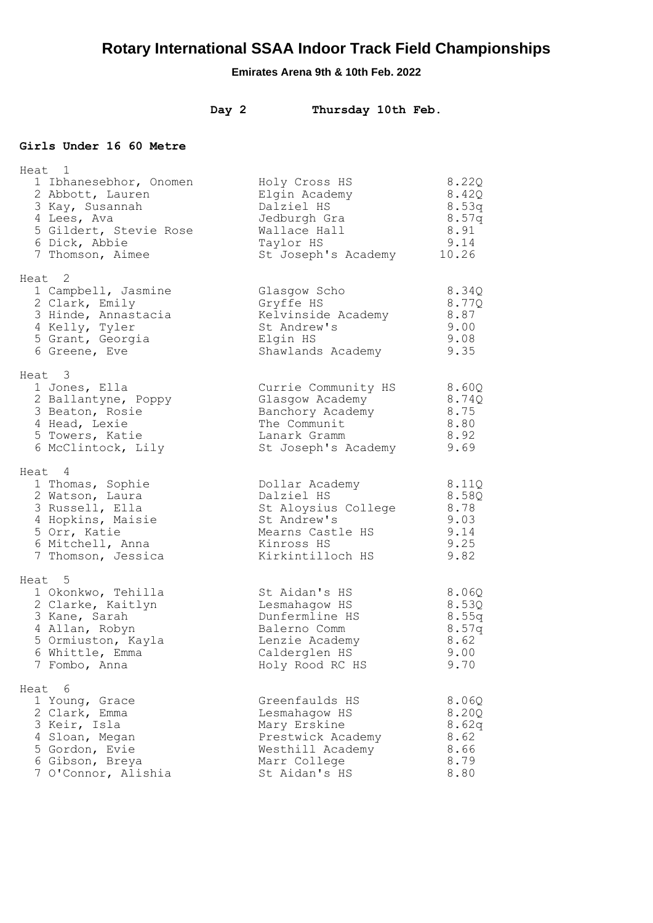## **Emirates Arena 9th & 10th Feb. 2022**

## **Day 2 Thursday 10th Feb.**

#### **Girls Under 16 60 Metre**

| Heat 1<br>1 Ibhanesebhor, Onomen<br>2 Abbott, Lauren<br>3 Kay, Susannah<br>4 Lees, Ava<br>5 Gildert, Stevie Rose<br>6 Dick, Abbie<br>7 Thomson, Aimee | Holy Cross HS<br>Elgin Academy<br>Dalziel HS<br>Jedburgh Gra<br>Wallace Hall<br>Taylor HS<br>St Joseph's Academy          | 8.22Q<br>8.42Q<br>8.53q<br>8.57q<br>8.91<br>9.14<br>10.26 |
|-------------------------------------------------------------------------------------------------------------------------------------------------------|---------------------------------------------------------------------------------------------------------------------------|-----------------------------------------------------------|
| Heat 2<br>1 Campbell, Jasmine<br>2 Clark, Emily<br>3 Hinde, Annastacia<br>4 Kelly, Tyler<br>5 Grant, Georgia<br>6 Greene, Eve                         | Glasgow Scho<br>Gryffe HS<br>Kelvinside Academy<br>St Andrew's<br>Elgin HS<br>Shawlands Academy                           | 8.34Q<br>8.77Q<br>8.87<br>9.00<br>9.08<br>9.35            |
| Heat 3<br>1 Jones, Ella<br>2 Ballantyne, Poppy<br>3 Beaton, Rosie<br>4 Head, Lexie<br>5 Towers, Katie<br>6 McClintock, Lily                           | Currie Community HS<br>Glasgow Academy<br>Banchory Academy<br>The Communit<br>Lanark Gramm<br>St Joseph's Academy         | 8.60Q<br>8.74Q<br>8.75<br>8.80<br>8.92<br>9.69            |
| Heat 4<br>1 Thomas, Sophie<br>2 Watson, Laura<br>3 Russell, Ella<br>4 Hopkins, Maisie<br>5 Orr, Katie<br>6 Mitchell, Anna<br>7 Thomson, Jessica       | Dollar Academy<br>Dalziel HS<br>St Aloysius College<br>St Andrew's<br>Mearns Castle HS<br>Kinross HS<br>Kirkintilloch HS  | 8.11Q<br>8.58Q<br>8.78<br>9.03<br>9.14<br>9.25<br>9.82    |
| Heat 5<br>1 Okonkwo, Tehilla<br>2 Clarke, Kaitlyn<br>3 Kane, Sarah<br>4 Allan, Robyn<br>5 Ormiuston, Kayla<br>6 Whittle, Emma<br>7 Fombo, Anna        | St Aidan's HS<br>Lesmahagow HS<br>Dunfermline HS<br>Balerno Comm<br>Lenzie Academy<br>Calderglen HS<br>Holy Rood RC HS    | 8.06Q<br>8.53Q<br>8.55q<br>8.57q<br>8.62<br>9.00<br>9.70  |
| Heat 6<br>1 Young, Grace<br>2 Clark, Emma<br>3 Keir, Isla<br>4 Sloan, Megan<br>5 Gordon, Evie<br>6 Gibson, Breya<br>7 O'Connor, Alishia               | Greenfaulds HS<br>Lesmahagow HS<br>Mary Erskine<br>Prestwick Academy<br>Westhill Academy<br>Marr College<br>St Aidan's HS | 8.06Q<br>8.20Q<br>8.62q<br>8.62<br>8.66<br>8.79<br>8.80   |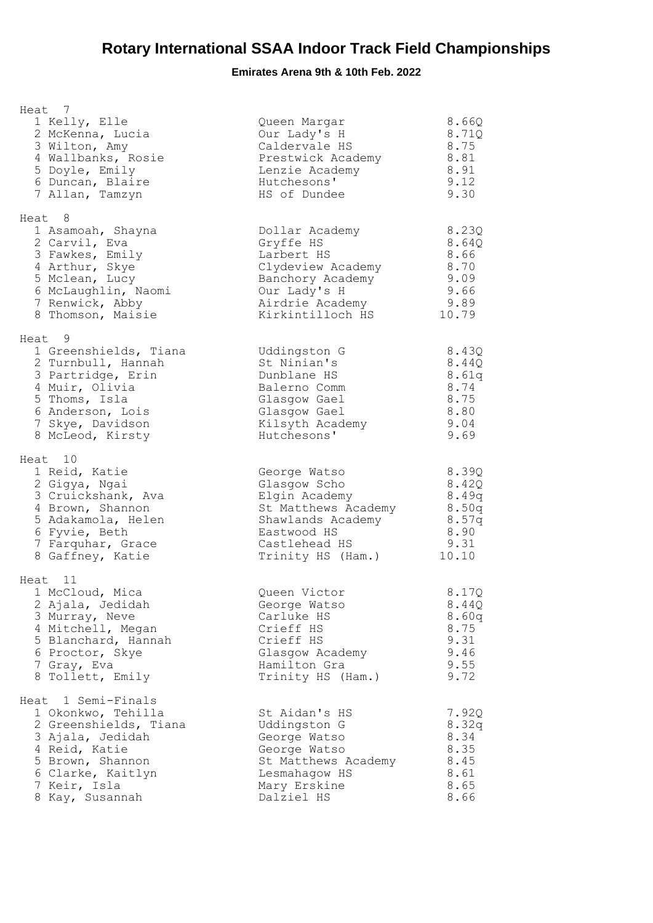| Heat 7                                                                                                                                                                             |                                                                                                                                                |                                                                    |
|------------------------------------------------------------------------------------------------------------------------------------------------------------------------------------|------------------------------------------------------------------------------------------------------------------------------------------------|--------------------------------------------------------------------|
| 1 Kelly, Elle<br>2 McKenna, Lucia<br>3 Wilton, Amy<br>4 Wallbanks, Rosie<br>5 Doyle, Emily<br>6 Duncan, Blaire<br>7 Allan, Tamzyn                                                  | Queen Margar<br>Our Lady's H<br>Caldervale HS<br>Prestwick Academy<br>Lenzie Academy<br>Hutchesons'<br>HS of Dundee                            | 8.66Q<br>8.71Q<br>8.75<br>8.81<br>8.91<br>9.12<br>9.30             |
| Heat 8<br>1 Asamoah, Shayna<br>2 Carvil, Eva<br>3 Fawkes, Emily<br>4 Arthur, Skye<br>5 Mclean, Lucy<br>6 McLaughlin, Naomi<br>7 Renwick, Abby<br>8 Thomson, Maisie                 | Dollar Academy<br>Gryffe HS<br>Larbert HS<br>Clydeview Academy<br>Banchory Academy<br>Our Lady's H<br>Airdrie Academy<br>Kirkintilloch HS      | 8.23Q<br>8.64Q<br>8.66<br>8.70<br>9.09<br>9.66<br>9.89<br>10.79    |
| Heat 9<br>1 Greenshields, Tiana<br>2 Turnbull, Hannah<br>3 Partridge, Erin<br>4 Muir, Olivia<br>5 Thoms, Isla<br>6 Anderson, Lois<br>7 Skye, Davidson<br>8 McLeod, Kirsty          | Uddingston G<br>St Ninian's<br>Dunblane HS<br>Balerno Comm<br>Glasgow Gael<br>Glasgow Gael<br>Kilsyth Academy<br>Hutchesons'                   | 8.43Q<br>8.44Q<br>8.61q<br>8.74<br>8.75<br>8.80<br>9.04<br>9.69    |
| Heat 10<br>1 Reid, Katie<br>2 Gigya, Ngai<br>3 Cruickshank, Ava<br>4 Brown, Shannon<br>5 Adakamola, Helen<br>6 Fyvie, Beth<br>7 Farquhar, Grace<br>8 Gaffney, Katie                | George Watso<br>Glasgow Scho<br>Elgin Academy<br>St Matthews Academy<br>Shawlands Academy<br>Eastwood HS<br>Castlehead HS<br>Trinity HS (Ham.) | 8.39Q<br>8.42Q<br>8.49q<br>8.50q<br>8.57q<br>8.90<br>9.31<br>10.10 |
| Heat 11<br>1 McCloud, Mica<br>2 Ajala, Jedidah<br>3 Murray, Neve<br>4 Mitchell, Megan<br>5 Blanchard, Hannah<br>6 Proctor, Skye<br>7 Gray, Eva<br>8 Tollett, Emily                 | Queen Victor<br>George Watso<br>Carluke HS<br>Crieff HS<br>Crieff HS<br>Glasgow Academy<br>Hamilton Gra<br>Trinity HS (Ham.)                   | 8.17Q<br>8.44Q<br>8.60q<br>8.75<br>9.31<br>9.46<br>9.55<br>9.72    |
| Heat 1 Semi-Finals<br>1 Okonkwo, Tehilla<br>2 Greenshields, Tiana<br>3 Ajala, Jedidah<br>4 Reid, Katie<br>5 Brown, Shannon<br>6 Clarke, Kaitlyn<br>7 Keir, Isla<br>8 Kay, Susannah | St Aidan's HS<br>Uddingston G<br>George Watso<br>George Watso<br>St Matthews Academy<br>Lesmahagow HS<br>Mary Erskine<br>Dalziel HS            | 7.92Q<br>8.32q<br>8.34<br>8.35<br>8.45<br>8.61<br>8.65<br>8.66     |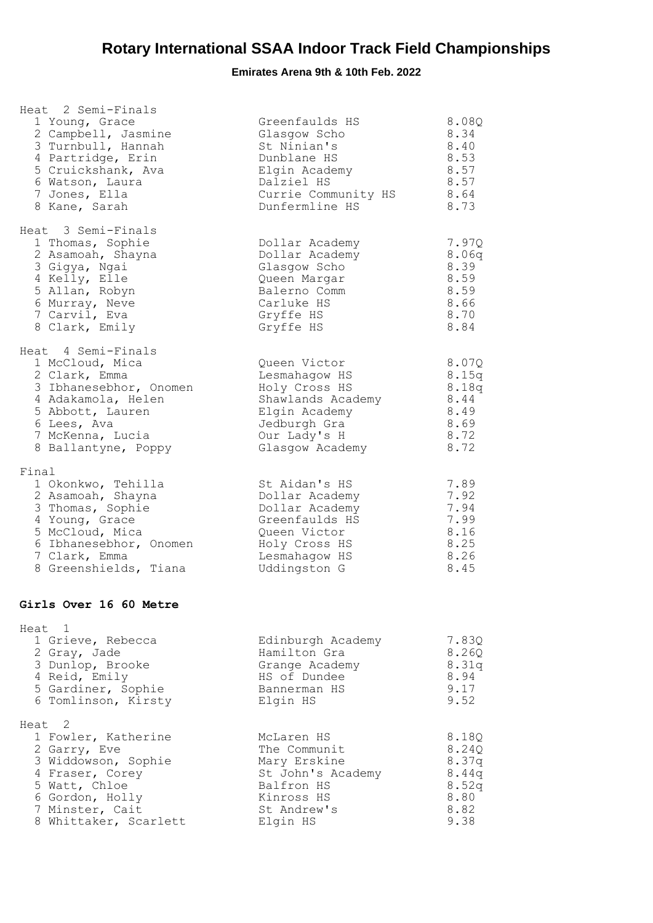| Heat 2 Semi-Finals<br>1 Young, Grace<br>2 Campbell, Jasmine<br>3 Turnbull, Hannah<br>4 Partridge, Erin<br>5 Cruickshank, Ava<br>6 Watson, Laura<br>7 Jones, Ella<br>8 Kane, Sarah    | Greenfaulds HS<br>Glasgow Scho<br>St Ninian's<br>Dunblane HS<br>Elgin Academy<br>Dalziel HS<br>Currie Community HS<br>Dunfermline HS    | 8.08Q<br>8.34<br>8.40<br>8.53<br>8.57<br>8.57<br>8.64<br>8.73       |
|--------------------------------------------------------------------------------------------------------------------------------------------------------------------------------------|-----------------------------------------------------------------------------------------------------------------------------------------|---------------------------------------------------------------------|
| Heat 3 Semi-Finals<br>1 Thomas, Sophie<br>2 Asamoah, Shayna<br>3 Gigya, Ngai<br>4 Kelly, Elle<br>5 Allan, Robyn<br>6 Murray, Neve<br>7 Carvil, Eva<br>8 Clark, Emily                 | Dollar Academy<br>Dollar Academy<br>Glasgow Scho<br>Queen Margar<br>Balerno Comm<br>Carluke HS<br>Gryffe HS<br>Gryffe HS                | 7.97Q<br>8.06q<br>8.39<br>8.59<br>8.59<br>8.66<br>8.70<br>8.84      |
| Heat 4 Semi-Finals<br>1 McCloud, Mica<br>2 Clark, Emma<br>3 Ibhanesebhor, Onomen<br>4 Adakamola, Helen<br>5 Abbott, Lauren<br>6 Lees, Ava<br>7 McKenna, Lucia<br>8 Ballantyne, Poppy | Queen Victor<br>Lesmahagow HS<br>Holy Cross HS<br>Shawlands Academy<br>Elgin Academy<br>Jedburgh Gra<br>Our Lady's H<br>Glasgow Academy | 8.07Q<br>8.15q<br>8.18q<br>$8.44\,$<br>8.49<br>8.69<br>8.72<br>8.72 |
| Final<br>1 Okonkwo, Tehilla<br>2 Asamoah, Shayna<br>3 Thomas, Sophie<br>4 Young, Grace<br>5 McCloud, Mica<br>6 Ibhanesebhor, Onomen<br>7 Clark, Emma<br>8 Greenshields, Tiana        | St Aidan's HS<br>Dollar Academy<br>Dollar Academy<br>Greenfaulds HS<br>Queen Victor<br>Holy Cross HS<br>Lesmahagow HS<br>Uddingston G   | 7.89<br>7.92<br>7.94<br>7.99<br>8.16<br>8.25<br>8.26<br>8.45        |
| Girls Over 16 60 Metre                                                                                                                                                               |                                                                                                                                         |                                                                     |
| Heat 1<br>1 Grieve, Rebecca<br>2 Gray, Jade<br>3 Dunlop, Brooke<br>4 Reid, Emily<br>5 Gardiner, Sophie<br>6 Tomlinson, Kirsty                                                        | Edinburgh Academy<br>Hamilton Gra<br>Grange Academy<br>HS of Dundee<br>Bannerman HS<br>Elgin HS                                         | 7.83Q<br>8.26Q<br>8.31q<br>8.94<br>9.17<br>9.52                     |
| Heat <sub>2</sub><br>1 Fowler, Katherine<br>2 Garry, Eve<br>3 Widdowson, Sophie<br>4 Fraser, Corey<br>5 Watt, Chloe<br>6 Gordon, Holly<br>7 Minster, Cait<br>8 Whittaker, Scarlett   | McLaren HS<br>The Communit<br>Mary Erskine<br>St John's Academy<br>Balfron HS<br>Kinross HS<br>St Andrew's<br>Elgin HS                  | 8.18Q<br>8.24Q<br>8.37q<br>8.44q<br>8.52q<br>8.80<br>8.82<br>9.38   |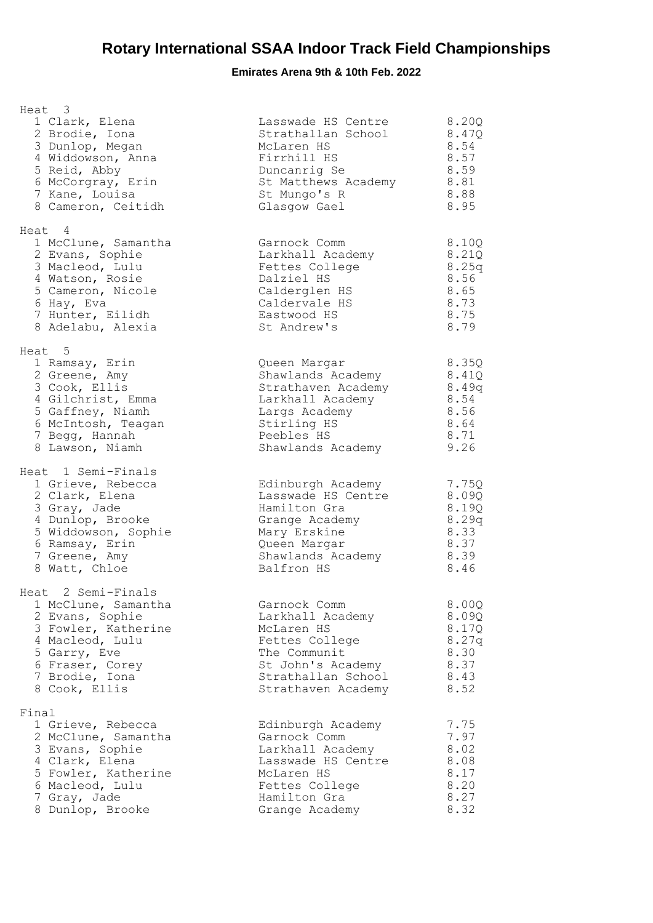| Heat 3<br>1 Clark, Elena<br>2 Brodie, Iona<br>3 Dunlop, Megan<br>4 Widdowson, Anna<br>5 Reid, Abby<br>6 McCorgray, Erin<br>7 Kane, Louisa<br>8 Cameron, Ceitidh              | Lasswade HS Centre<br>Strathallan School<br>McLaren HS<br>Firrhill HS<br>Duncanrig Se<br>St Matthews Academy 8.81<br>St Mungo's R<br>Glasgow Gael | 8.20Q<br>8.47Q<br>8.54<br>8.57<br>8.59<br>8.88<br>8.95           |
|------------------------------------------------------------------------------------------------------------------------------------------------------------------------------|---------------------------------------------------------------------------------------------------------------------------------------------------|------------------------------------------------------------------|
| Heat 4<br>1 McClune, Samantha<br>2 Evans, Sophie<br>3 Macleod, Lulu<br>4 Watson, Rosie<br>5 Cameron, Nicole<br>6 Hay, Eva<br>7 Hunter, Eilidh<br>8 Adelabu, Alexia           | Garnock Comm<br>Larkhall Academy<br>Fettes College<br>Dalziel HS<br>Calderglen HS<br>Caldervale HS<br>Eastwood HS<br>St Andrew's                  | 8.10Q<br>8.21Q<br>8.25q<br>8.56<br>8.65<br>8.73<br>8.75<br>8.79  |
| Heat 5<br>1 Ramsay, Erin<br>2 Greene, Amy<br>3 Cook, Ellis<br>4 Gilchrist, Emma<br>5 Gaffney, Niamh<br>6 McIntosh, Teagan<br>7 Begg, Hannah<br>8 Lawson, Niamh               | Queen Margar<br>Shawlands Academy<br>Strathaven Academy<br>Larkhall Academy<br>Largs Academy<br>Stirling HS<br>Peebles HS<br>Shawlands Academy    | 8.35Q<br>8.41Q<br>8.49q<br>8.54<br>8.56<br>8.64<br>8.71<br>9.26  |
| Heat 1 Semi-Finals<br>1 Grieve, Rebecca<br>2 Clark, Elena<br>3 Gray, Jade<br>4 Dunlop, Brooke<br>5 Widdowson, Sophie<br>6 Ramsay, Erin<br>7 Greene, Amy<br>8 Watt, Chloe     | Edinburgh Academy<br>Lasswade HS Centre<br>Hamilton Gra<br>Grange Academy<br>Mary Erskine<br>Queen Margar<br>Shawlands Academy<br>Balfron HS      | 7.75Q<br>8.09Q<br>8.19Q<br>8.29q<br>8.33<br>8.37<br>8.39<br>8.46 |
| Heat 2 Semi-Finals<br>1 McClune, Samantha<br>2 Evans, Sophie<br>3 Fowler, Katherine<br>4 Macleod, Lulu<br>5 Garry, Eve<br>6 Fraser, Corey<br>7 Brodie, Iona<br>8 Cook, Ellis | Garnock Comm<br>Larkhall Academy<br>McLaren HS<br>Fettes College<br>The Communit<br>St John's Academy<br>Strathallan School<br>Strathaven Academy | 8.00Q<br>8.09Q<br>8.17Q<br>8.27g<br>8.30<br>8.37<br>8.43<br>8.52 |
| Final<br>1 Grieve, Rebecca<br>2 McClune, Samantha<br>3 Evans, Sophie<br>4 Clark, Elena<br>5 Fowler, Katherine<br>6 Macleod, Lulu<br>7 Gray, Jade<br>8 Dunlop, Brooke         | Edinburgh Academy<br>Garnock Comm<br>Larkhall Academy<br>Lasswade HS Centre<br>McLaren HS<br>Fettes College<br>Hamilton Gra<br>Grange Academy     | 7.75<br>7.97<br>8.02<br>8.08<br>8.17<br>8.20<br>8.27<br>8.32     |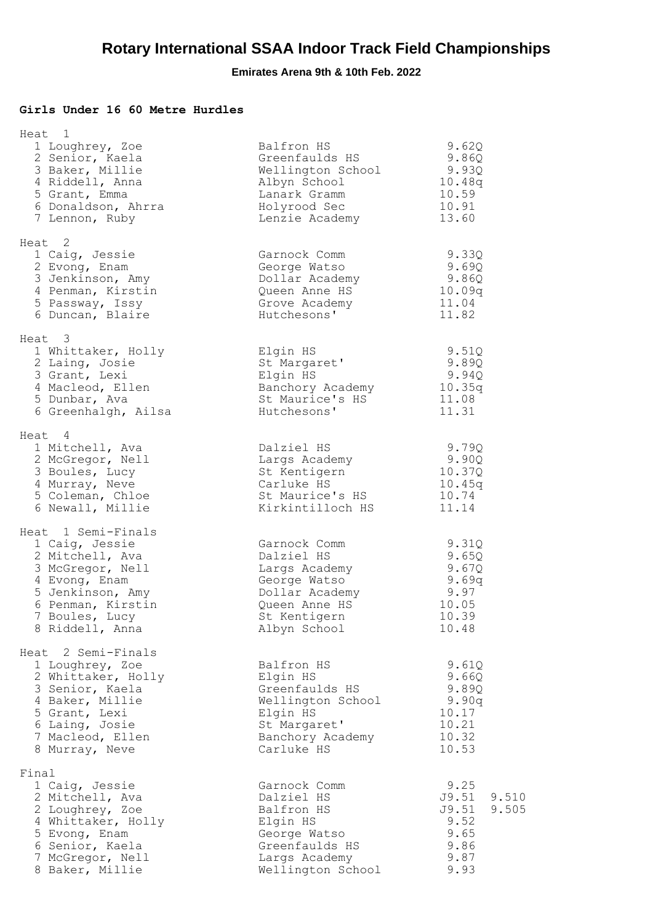### **Girls Under 16 60 Metre Hurdles**

| Heat 1                                                                                                                                                                     |                                                                                                                                |                                                                                  |
|----------------------------------------------------------------------------------------------------------------------------------------------------------------------------|--------------------------------------------------------------------------------------------------------------------------------|----------------------------------------------------------------------------------|
| 1 Loughrey, Zoe<br>2 Senior, Kaela<br>3 Baker, Millie<br>4 Riddell, Anna<br>5 Grant, Emma<br>6 Donaldson, Ahrra<br>7 Lennon, Ruby                                          | Balfron HS<br>Greenfaulds HS<br>Wellington School<br>Albyn School<br>Lanark Gramm<br>Holyrood Sec<br>Lenzie Academy            | 9.62Q<br>9.86Q<br>9.93Q<br>10.48q<br>10.59<br>10.91<br>13.60                     |
| Heat 2<br>1 Caig, Jessie<br>2 Evong, Enam<br>3 Jenkinson, Amy<br>4 Penman, Kirstin<br>5 Passway, Issy<br>6 Duncan, Blaire                                                  | Garnock Comm<br>George Watso<br>Dollar Academy<br>Queen Anne HS<br>Grove Academy<br>Hutchesons'                                | 9.33Q<br>9.69Q<br>9.86Q<br>10.09q<br>11.04<br>11.82                              |
| Heat 3<br>1 Whittaker, Holly<br>2 Laing, Josie<br>3 Grant, Lexi<br>4 Macleod, Ellen<br>5 Dunbar, Ava<br>6 Greenhalgh, Ailsa                                                | Elgin HS<br>St Margaret'<br>Elgin HS<br>Banchory Academy<br>St Maurice's HS<br>Hutchesons'                                     | 9.51Q<br>9.89Q<br>9.94Q<br>10.35q<br>11.08<br>11.31                              |
| Heat 4<br>1 Mitchell, Ava<br>2 McGregor, Nell<br>3 Boules, Lucy<br>4 Murray, Neve<br>5 Coleman, Chloe<br>6 Newall, Millie                                                  | Dalziel HS<br>Largs Academy<br>St Kentigern<br>Carluke HS<br>St Maurice's HS<br>Kirkintilloch HS                               | 9.79Q<br>9.90Q<br>10.37Q<br>10.45q<br>10.74<br>11.14                             |
| Heat 1 Semi-Finals<br>1 Caig, Jessie<br>2 Mitchell, Ava<br>3 McGregor, Nell<br>4 Evong, Enam<br>5 Jenkinson, Amy<br>6 Penman, Kirstin<br>7 Boules, Lucy<br>8 Riddell, Anna | Garnock Comm<br>Dalziel HS<br>Largs Academy<br>George Watso<br>Dollar Academy<br>Queen Anne HS<br>St Kentigern<br>Albyn School | 9.31Q<br>9.65Q<br>9.67Q<br>9.69q<br>9.97<br>10.05<br>10.39<br>10.48              |
| Heat 2 Semi-Finals<br>1 Loughrey, Zoe<br>2 Whittaker, Holly<br>3 Senior, Kaela<br>4 Baker, Millie<br>5 Grant, Lexi<br>6 Laing, Josie<br>7 Macleod, Ellen<br>8 Murray, Neve | Balfron HS<br>Elgin HS<br>Greenfaulds HS<br>Wellington School<br>Elgin HS<br>St Margaret'<br>Banchory Academy<br>Carluke HS    | 9.61Q<br>9.660<br>9.89Q<br>9.90q<br>10.17<br>10.21<br>10.32<br>10.53             |
| Final<br>1 Caig, Jessie<br>2 Mitchell, Ava<br>2 Loughrey, Zoe<br>4 Whittaker, Holly<br>5 Evong, Enam<br>6 Senior, Kaela<br>7 McGregor, Nell<br>8 Baker, Millie             | Garnock Comm<br>Dalziel HS<br>Balfron HS<br>Elgin HS<br>George Watso<br>Greenfaulds HS<br>Largs Academy<br>Wellington School   | 9.25<br>J9.51<br>9.510<br>J9.51<br>9.505<br>9.52<br>9.65<br>9.86<br>9.87<br>9.93 |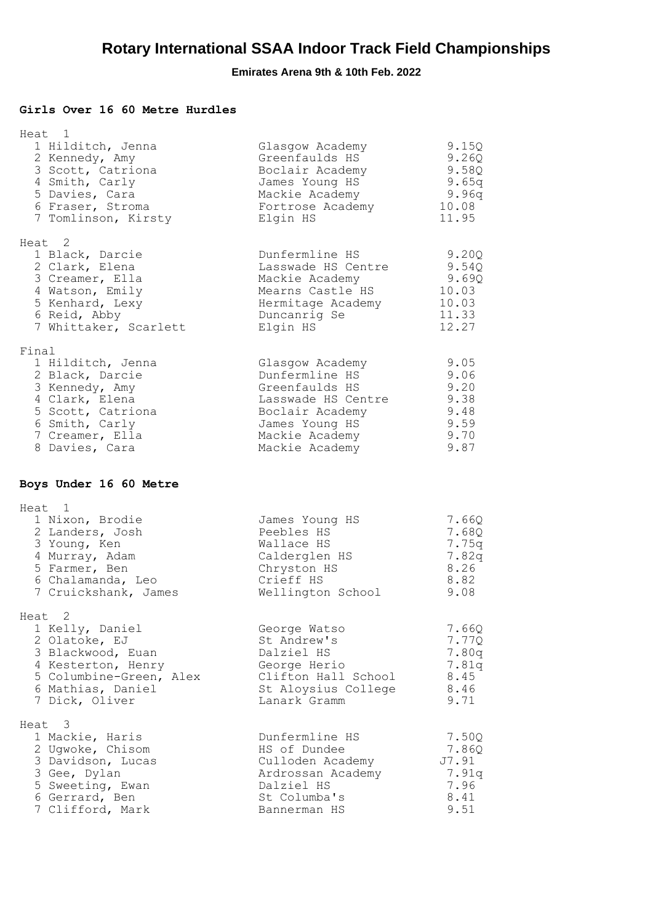### **Girls Over 16 60 Metre Hurdles**

| Heat 1<br>1 Hilditch, Jenna<br>2 Kennedy, Amy<br>3 Scott, Catriona<br>4 Smith, Carly<br>5 Davies, Cara<br>6 Fraser, Stroma<br>7 Tomlinson, Kirsty             | Glasgow Academy<br>Greenfaulds HS<br>Boclair Academy<br>James Young HS<br>Mackie Academy<br>Fortrose Academy<br>Elgin HS                           | 9.15Q<br>9.26Q<br>9.58Q<br>9.65q<br>9.96q<br>10.08<br>11.95  |
|---------------------------------------------------------------------------------------------------------------------------------------------------------------|----------------------------------------------------------------------------------------------------------------------------------------------------|--------------------------------------------------------------|
| Heat 2<br>1 Black, Darcie<br>2 Clark, Elena<br>3 Creamer, Ella<br>4 Watson, Emily<br>5 Kenhard, Lexy<br>6 Reid, Abby<br>7 Whittaker, Scarlett                 | Dunfermline HS<br>Lasswade HS Centre<br>Mackie Academy<br>Mearns Castle HS<br>Hermitage Academy<br>Duncanrig Se<br>Elgin HS                        | 9.20Q<br>9.54Q<br>9.69Q<br>10.03<br>10.03<br>11.33<br>12.27  |
| Final<br>1 Hilditch, Jenna<br>2 Black, Darcie<br>3 Kennedy, Amy<br>4 Clark, Elena<br>5 Scott, Catriona<br>6 Smith, Carly<br>7 Creamer, Ella<br>8 Davies, Cara | Glasgow Academy<br>Dunfermline HS<br>Greenfaulds HS<br>Lasswade HS Centre<br>Boclair Academy<br>James Young HS<br>Mackie Academy<br>Mackie Academy | 9.05<br>9.06<br>9.20<br>9.38<br>9.48<br>9.59<br>9.70<br>9.87 |
| Boys Under 16 60 Metre                                                                                                                                        |                                                                                                                                                    |                                                              |
| Heat 1<br>1 Nixon, Brodie<br>2 Landers, Josh<br>3 Young, Ken<br>4 Murray, Adam<br>5 Farmer, Ben<br>6 Chalamanda, Leo<br>7 Cruickshank, James                  | James Young HS<br>Peebles HS<br>Wallace HS<br>Calderglen HS<br>Chryston HS<br>Crieff HS<br>Wellington School                                       | 7.66Q<br>7.68Q<br>7.75q<br>7.82q<br>8.26<br>8.82<br>9.08     |
| Heat 2<br>1 Kelly, Daniel<br>2 Olatoke, EJ<br>3 Blackwood, Euan<br>4 Kesterton, Henry<br>5 Columbine-Green, Alex<br>6 Mathias, Daniel<br>7 Dick, Oliver       | George Watso<br>St Andrew's<br>Dalziel HS<br>George Herio<br>Clifton Hall School<br>St Aloysius College<br>Lanark Gramm                            | 7.66Q<br>7.77Q<br>7.80q<br>7.81q<br>8.45<br>8.46<br>9.71     |
| 3<br>Heat<br>1 Mackie, Haris<br>2 Ugwoke, Chisom<br>3 Davidson, Lucas<br>3 Gee, Dylan<br>5 Sweeting, Ewan<br>6 Gerrard, Ben<br>7 Clifford, Mark               | Dunfermline HS<br>HS of Dundee<br>Culloden Academy<br>Ardrossan Academy<br>Dalziel HS<br>St Columba's<br>Bannerman HS                              | 7.50Q<br>7.86Q<br>J7.91<br>7.91q<br>7.96<br>8.41<br>9.51     |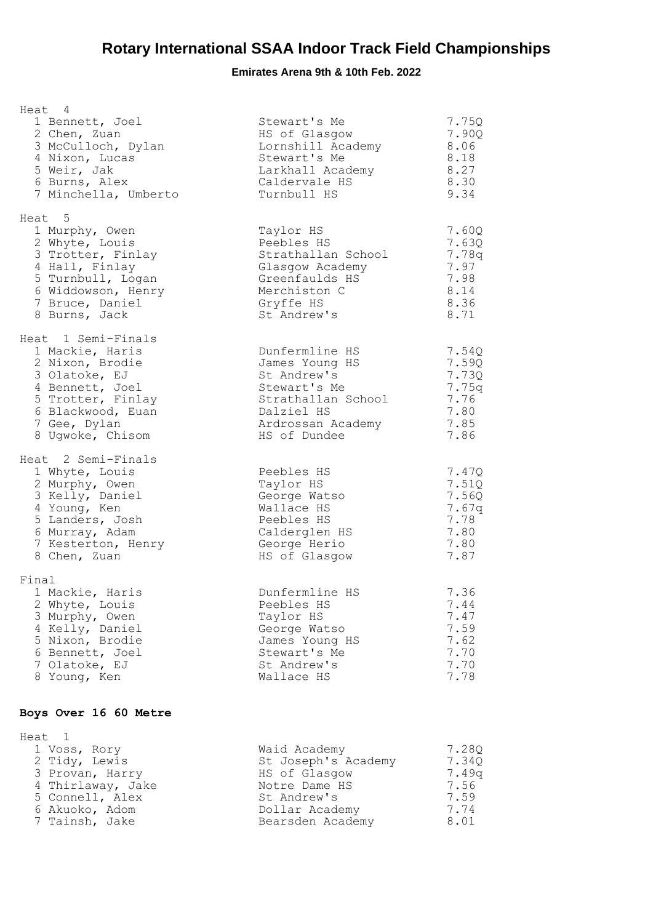## **Emirates Arena 9th & 10th Feb. 2022**

| Heat 4<br>1 Bennett, Joel<br>2 Chen, Zuan<br>3 McCulloch, Dylan<br>4 Nixon, Lucas<br>5 Weir, Jak<br>6 Burns, Alex<br>7 Minchella, Umberto                                   | Stewart's Me<br>HS of Glasgow<br>Lornshill Academy<br>Stewart's Me<br>Larkhall Academy<br>Caldervale HS<br>Turnbull HS                   | 7.75Q<br>7.90Q<br>8.06<br>8.18<br>8.27<br>8.30<br>9.34           |
|-----------------------------------------------------------------------------------------------------------------------------------------------------------------------------|------------------------------------------------------------------------------------------------------------------------------------------|------------------------------------------------------------------|
| Heat <sub>5</sub><br>1 Murphy, Owen<br>2 Whyte, Louis<br>3 Trotter, Finlay<br>4 Hall, Finlay<br>5 Turnbull, Logan<br>6 Widdowson, Henry<br>7 Bruce, Daniel<br>8 Burns, Jack | Taylor HS<br>Peebles HS<br>Strathallan School<br>Glasgow Academy<br>Greenfaulds HS<br>Merchiston C<br>Gryffe HS<br>St Andrew's           | 7.60Q<br>7.63Q<br>7.78q<br>7.97<br>7.98<br>8.14<br>8.36<br>8.71  |
| Heat 1 Semi-Finals<br>1 Mackie, Haris<br>2 Nixon, Brodie<br>3 Olatoke, EJ<br>4 Bennett, Joel<br>5 Trotter, Finlay<br>6 Blackwood, Euan<br>7 Gee, Dylan<br>8 Ugwoke, Chisom  | Dunfermline HS<br>James Young HS<br>St Andrew's<br>Stewart's Me<br>Strathallan School<br>Dalziel HS<br>Ardrossan Academy<br>HS of Dundee | 7.54Q<br>7.59Q<br>7.73Q<br>7.75g<br>7.76<br>7.80<br>7.85<br>7.86 |
| Heat 2 Semi-Finals<br>1 Whyte, Louis<br>2 Murphy, Owen<br>3 Kelly, Daniel<br>4 Young, Ken<br>5 Landers, Josh<br>6 Murray, Adam<br>7 Kesterton, Henry<br>8 Chen, Zuan        | Peebles HS<br>Taylor HS<br>George Watso<br>Wallace HS<br>Peebles HS<br>Calderglen HS<br>George Herio<br>HS of Glasgow                    | 7.47Q<br>7.51Q<br>7.56Q<br>7.67g<br>7.78<br>7.80<br>7.80<br>7.87 |
| Final<br>1 Mackie, Haris<br>2 Whyte, Louis<br>3 Murphy, Owen<br>4 Kelly, Daniel<br>5 Nixon, Brodie<br>6 Bennett, Joel<br>7 Olatoke, EJ<br>8 Young, Ken                      | Dunfermline HS<br>Peebles HS<br>Taylor HS<br>George Watso<br>James Young HS<br>Stewart's Me<br>St Andrew's<br>Wallace HS                 | 7.36<br>7.44<br>7.47<br>7.59<br>7.62<br>7.70<br>7.70<br>7.78     |

### **Boys Over 16 60 Metre**

| Heat 1            |                     |       |
|-------------------|---------------------|-------|
| 1 Voss, Rory      | Waid Academy        | 7.280 |
| 2 Tidy, Lewis     | St Joseph's Academy | 7.340 |
| 3 Provan, Harry   | HS of Glasgow       | 7.49a |
| 4 Thirlaway, Jake | Notre Dame HS       | 7.56  |
| 5 Connell, Alex   | St Andrew's         | 7.59  |
| 6 Akuoko, Adom    | Dollar Academy      | 7.74  |
| 7 Tainsh, Jake    | Bearsden Academy    | 8.01  |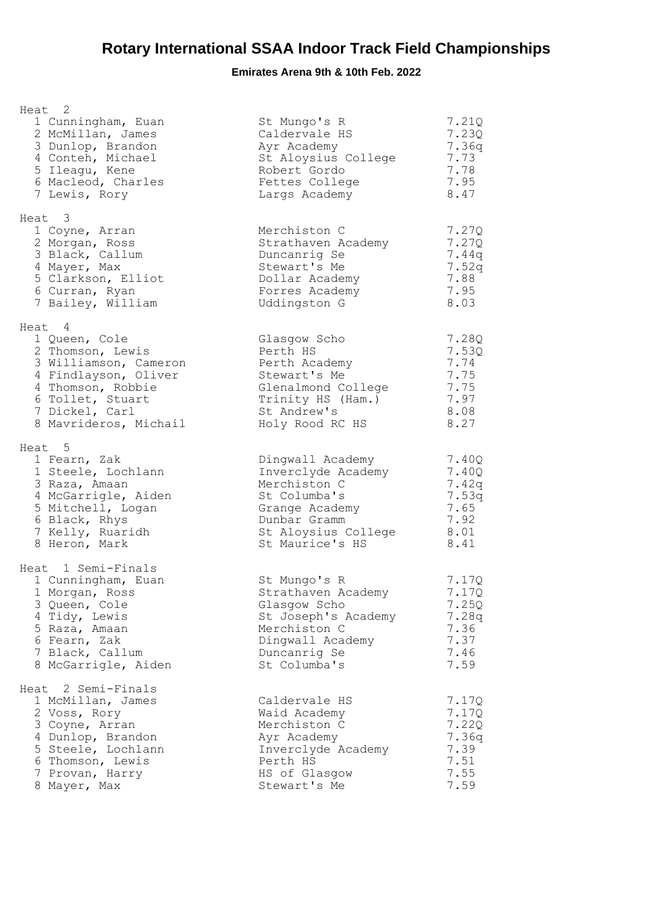| Heat 2<br>1 Cunningham, Euan<br>2 McMillan, James<br>3 Dunlop, Brandon<br>4 Conteh, Michael<br>5 Ileagu, Kene<br>6 Macleod, Charles<br>7 Lewis, Rory                             | St Mungo's R<br>Caldervale HS<br>Ayr Academy<br>St Aloysius College<br>Robert Gordo<br>Fettes College<br>Largs Academy                             | 7.21Q<br>7.230<br>7.36q<br>7.73<br>7.78<br>7.95<br>8.47          |
|----------------------------------------------------------------------------------------------------------------------------------------------------------------------------------|----------------------------------------------------------------------------------------------------------------------------------------------------|------------------------------------------------------------------|
| Heat 3<br>1 Coyne, Arran<br>2 Morgan, Ross<br>3 Black, Callum<br>4 Mayer, Max<br>5 Clarkson, Elliot<br>6 Curran, Ryan<br>7 Bailey, William                                       | Merchiston C<br>Strathaven Academy<br>Duncanrig Se<br>Stewart's Me<br>Dollar Academy<br>Forres Academy<br>Uddingston G                             | 7.27Q<br>7.27Q<br>7.44q<br>7.52q<br>7.88<br>7.95<br>8.03         |
| Heat 4<br>1 Queen, Cole<br>2 Thomson, Lewis<br>3 Williamson, Cameron<br>4 Findlayson, Oliver<br>4 Thomson, Robbie<br>6 Tollet, Stuart<br>7 Dickel, Carl<br>8 Mavrideros, Michail | Glasgow Scho<br>Perth HS<br>Perth Academy<br>Stewart's Me<br>Glenalmond College<br>Trinity HS (Ham.)<br>St Andrew's<br>Holy Rood RC HS             | 7.28Q<br>7.53Q<br>7.74<br>7.75<br>7.75<br>7.97<br>8.08<br>8.27   |
| Heat 5<br>1 Fearn, Zak<br>1 Steele, Lochlann<br>3 Raza, Amaan<br>4 McGarrigle, Aiden<br>5 Mitchell, Logan<br>6 Black, Rhys<br>7 Kelly, Ruaridh<br>8 Heron, Mark                  | Dingwall Academy<br>Inverclyde Academy<br>Merchiston C<br>St Columba's<br>Grange Academy<br>Dunbar Gramm<br>St Aloysius College<br>St Maurice's HS | 7.40Q<br>7.40Q<br>7.42q<br>7.53q<br>7.65<br>7.92<br>8.01<br>8.41 |
| Heat 1 Semi-Finals<br>1 Cunningham, Euan<br>1 Morgan, Ross<br>3 Queen, Cole<br>4 Tidy, Lewis<br>5 Raza, Amaan<br>6 Fearn, Zak<br>7 Black, Callum<br>8 McGarrigle, Aiden          | St Mungo's R<br>Strathaven Academy<br>Glasgow Scho<br>St Joseph's Academy<br>Merchiston C<br>Dingwall Academy<br>Duncanrig Se<br>St Columba's      | 7.17Q<br>7.17Q<br>7.25Q<br>7.28q<br>7.36<br>7.37<br>7.46<br>7.59 |
| Heat 2 Semi-Finals<br>1 McMillan, James<br>2 Voss, Rory<br>3 Coyne, Arran<br>4 Dunlop, Brandon<br>5 Steele, Lochlann<br>6 Thomson, Lewis<br>7 Provan, Harry<br>8 Mayer, Max      | Caldervale HS<br>Waid Academy<br>Merchiston C<br>Ayr Academy<br>Inverclyde Academy<br>Perth HS<br>HS of Glasgow<br>Stewart's Me                    | 7.17Q<br>7.17Q<br>7.22Q<br>7.36q<br>7.39<br>7.51<br>7.55<br>7.59 |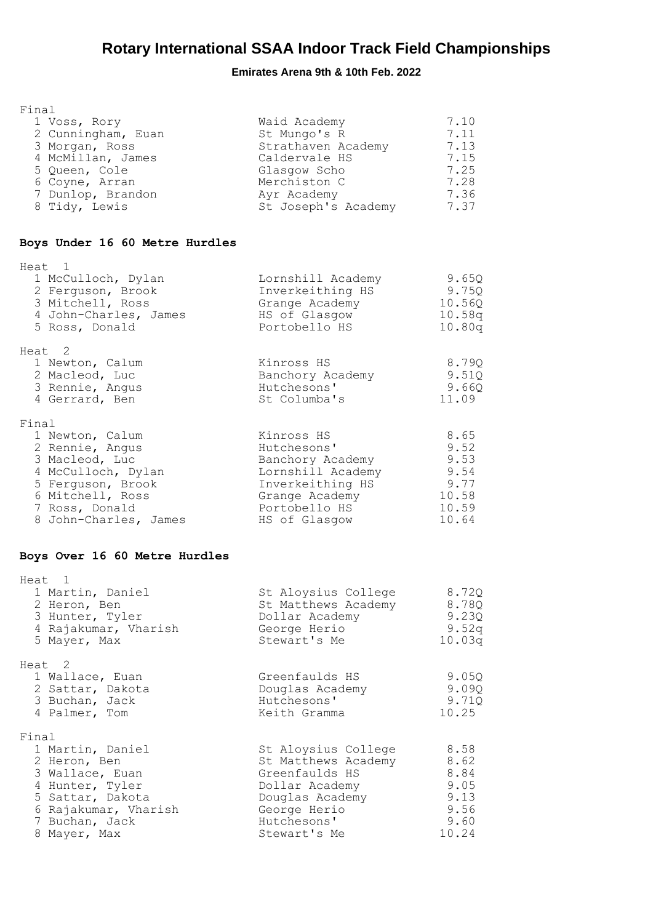| Final<br>1 Voss, Rory<br>2 Cunningham, Euan<br>3 Morgan, Ross<br>4 McMillan, James<br>5 Queen, Cole<br>6 Coyne, Arran<br>7 Dunlop, Brandon<br>8 Tidy, Lewis             | Waid Academy<br>St Mungo's R<br>Strathaven Academy<br>Caldervale HS<br>Glasgow Scho<br>Merchiston C<br>Ayr Academy<br>St Joseph's Academy        | 7.10<br>7.11<br>7.13<br>7.15<br>7.25<br>7.28<br>7.36<br>7.37  |
|-------------------------------------------------------------------------------------------------------------------------------------------------------------------------|--------------------------------------------------------------------------------------------------------------------------------------------------|---------------------------------------------------------------|
| Boys Under 16 60 Metre Hurdles                                                                                                                                          |                                                                                                                                                  |                                                               |
| Heat 1<br>1 McCulloch, Dylan<br>2 Ferguson, Brook<br>3 Mitchell, Ross<br>4 John-Charles, James<br>5 Ross, Donald                                                        | Lornshill Academy<br>Inverkeithing HS<br>Grange Academy<br>HS of Glasgow<br>Portobello HS                                                        | 9.65Q<br>9.75Q<br>10.56Q<br>10.58q<br>10.80q                  |
| Heat <sub>2</sub><br>1 Newton, Calum<br>2 Macleod, Luc<br>3 Rennie, Angus<br>4 Gerrard, Ben                                                                             | Kinross HS<br>Banchory Academy<br>Hutchesons'<br>St Columba's                                                                                    | 8.79Q<br>9.51Q<br>9.66Q<br>11.09                              |
| Final<br>1 Newton, Calum<br>2 Rennie, Angus<br>3 Macleod, Luc<br>4 McCulloch, Dylan<br>5 Ferguson, Brook<br>6 Mitchell, Ross<br>7 Ross, Donald<br>8 John-Charles, James | Kinross HS<br>Hutchesons'<br>Banchory Academy<br>Lornshill Academy 9.54<br>Inverkeithing HS<br>Grange Academy<br>Portobello HS<br>HS of Glasgow  | 8.65<br>9.52<br>9.53<br>9.77<br>10.58<br>10.59<br>10.64       |
| Boys Over 16 60 Metre Hurdles                                                                                                                                           |                                                                                                                                                  |                                                               |
| Heat 1<br>1 Martin, Daniel<br>2 Heron, Ben<br>3 Hunter, Tyler<br>4 Rajakumar, Vharish<br>5 Mayer, Max                                                                   | St Aloysius College<br>St Matthews Academy<br>Dollar Academy<br>George Herio<br>Stewart's Me                                                     | 8.72Q<br>8.78Q<br>9.23Q<br>9.52q<br>10.03q                    |
| Heat <sub>2</sub><br>1 Wallace, Euan<br>2 Sattar, Dakota<br>3 Buchan, Jack<br>4 Palmer, Tom                                                                             | Greenfaulds HS<br>Douglas Academy<br>Hutchesons'<br>Keith Gramma                                                                                 | 9.05Q<br>9.09Q<br>9.71Q<br>10.25                              |
| Final<br>1 Martin, Daniel<br>2 Heron, Ben<br>3 Wallace, Euan<br>4 Hunter, Tyler<br>5 Sattar, Dakota<br>6 Rajakumar, Vharish<br>7 Buchan, Jack<br>8 Mayer, Max           | St Aloysius College<br>St Matthews Academy<br>Greenfaulds HS<br>Dollar Academy<br>Douglas Academy<br>George Herio<br>Hutchesons'<br>Stewart's Me | 8.58<br>8.62<br>8.84<br>9.05<br>9.13<br>9.56<br>9.60<br>10.24 |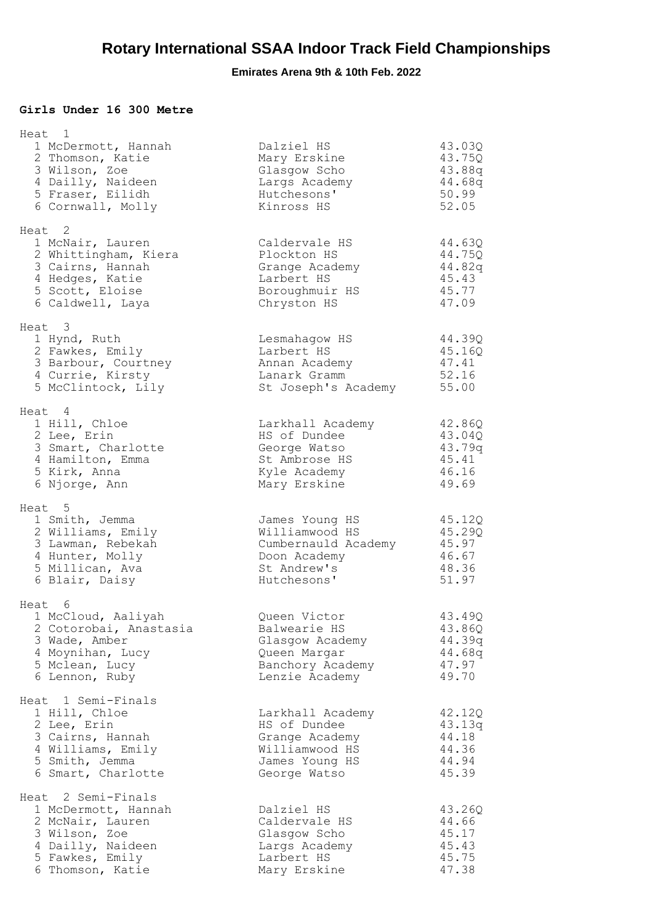#### **Girls Under 16 300 Metre**

| Heat 1                                                                                                                                     |                                                                                                        |                                                        |
|--------------------------------------------------------------------------------------------------------------------------------------------|--------------------------------------------------------------------------------------------------------|--------------------------------------------------------|
| 1 McDermott, Hannah<br>2 Thomson, Katie<br>3 Wilson, Zoe<br>4 Dailly, Naideen<br>5 Fraser, Eilidh<br>6 Cornwall, Molly                     | Dalziel HS<br>Mary Erskine<br>Glasgow Scho<br>Largs Academy<br>Hutchesons'<br>Kinross HS               | 43.03Q<br>43.75Q<br>43.88q<br>44.68q<br>50.99<br>52.05 |
| Heat 2<br>1 McNair, Lauren<br>2 Whittingham, Kiera<br>3 Cairns, Hannah<br>4 Hedges, Katie<br>5 Scott, Eloise<br>6 Caldwell, Laya           | Caldervale HS<br>Plockton HS<br>Grange Academy<br>Larbert HS<br>Boroughmuir HS<br>Chryston HS          | 44.63Q<br>44.75Q<br>44.82q<br>45.43<br>45.77<br>47.09  |
| Heat 3<br>1 Hynd, Ruth<br>2 Fawkes, Emily<br>3 Barbour, Courtney<br>4 Currie, Kirsty<br>5 McClintock, Lily                                 | Lesmahagow HS<br>Larbert HS<br>Annan Academy<br>Lanark Gramm<br>St Joseph's Academy                    | 44.39Q<br>45.16Q<br>47.41<br>52.16<br>55.00            |
| Heat 4<br>1 Hill, Chloe<br>2 Lee, Erin<br>3 Smart, Charlotte<br>4 Hamilton, Emma<br>5 Kirk, Anna<br>6 Njorge, Ann                          | Larkhall Academy<br>HS of Dundee<br>George Watso<br>St Ambrose HS<br>Kyle Academy<br>Mary Erskine      | 42.86Q<br>43.04Q<br>43.79q<br>45.41<br>46.16<br>49.69  |
| Heat 5<br>1 Smith, Jemma<br>2 Williams, Emily<br>3 Lawman, Rebekah<br>4 Hunter, Molly<br>5 Millican, Ava<br>6 Blair, Daisy                 | James Young HS<br>Williamwood HS<br>Cumbernauld Academy<br>Doon Academy<br>St Andrew's<br>Hutchesons'  | 45.12Q<br>45.29Q<br>45.97<br>46.67<br>48.36<br>51.97   |
| Heat 6<br>1 McCloud, Aaliyah<br>2 Cotorobai, Anastasia<br>3 Wade, Amber<br>4 Moynihan, Lucy<br>5 Mclean, Lucy<br>6 Lennon, Ruby            | Queen Victor<br>Balwearie HS<br>Glasgow Academy<br>Queen Margar<br>Banchory Academy<br>Lenzie Academy  | 43.49Q<br>43.86Q<br>44.39q<br>44.68q<br>47.97<br>49.70 |
| Heat 1 Semi-Finals<br>1 Hill, Chloe<br>2 Lee, Erin<br>3 Cairns, Hannah<br>4 Williams, Emily<br>5 Smith, Jemma<br>6 Smart, Charlotte        | Larkhall Academy<br>HS of Dundee<br>Grange Academy<br>Williamwood HS<br>James Young HS<br>George Watso | 42.12Q<br>43.13q<br>44.18<br>44.36<br>44.94<br>45.39   |
| Heat 2 Semi-Finals<br>1 McDermott, Hannah<br>2 McNair, Lauren<br>3 Wilson, Zoe<br>4 Dailly, Naideen<br>5 Fawkes, Emily<br>6 Thomson, Katie | Dalziel HS<br>Caldervale HS<br>Glasgow Scho<br>Largs Academy<br>Larbert HS<br>Mary Erskine             | 43.26Q<br>44.66<br>45.17<br>45.43<br>45.75<br>47.38    |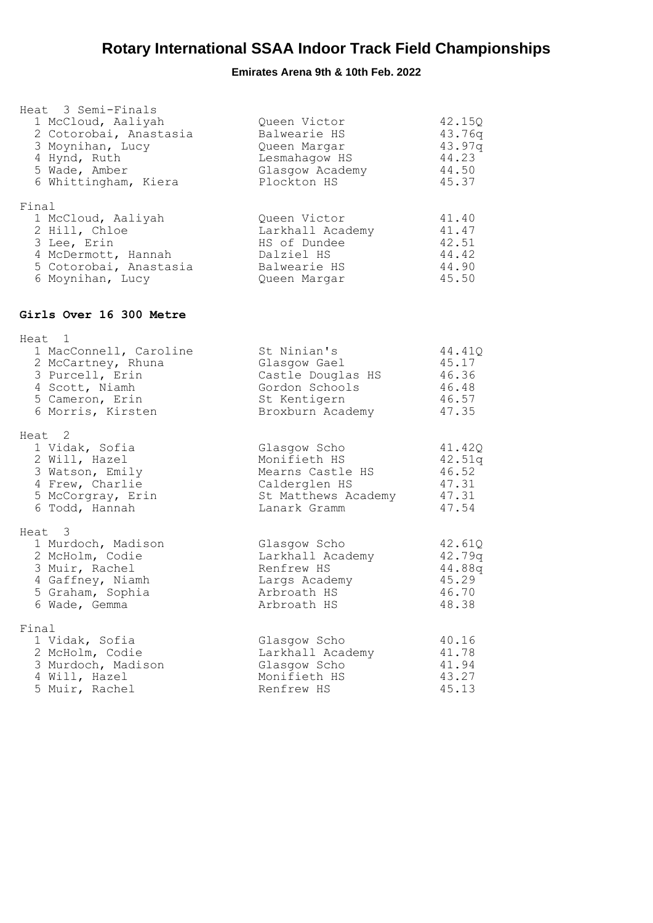| Heat 3 Semi-Finals<br>1 McCloud, Aaliyah<br>2 Cotorobai, Anastasia<br>3 Moynihan, Lucy<br>4 Hynd, Ruth<br>5 Wade, Amber<br>6 Whittingham, Kiera | Queen Victor<br>Balwearie HS<br>Queen Margar<br>Lesmahagow HS<br>Glasgow Academy<br>Plockton HS          | 42.15Q<br>43.76q<br>43.97q<br>44.23<br>44.50<br>45.37 |
|-------------------------------------------------------------------------------------------------------------------------------------------------|----------------------------------------------------------------------------------------------------------|-------------------------------------------------------|
| Final<br>1 McCloud, Aaliyah<br>2 Hill, Chloe<br>3 Lee, Erin<br>4 McDermott, Hannah<br>5 Cotorobai, Anastasia<br>6 Moynihan, Lucy                | Queen Victor<br>Larkhall Academy<br>HS of Dundee<br>Dalziel HS<br>Balwearie HS<br>Queen Margar           | 41.40<br>41.47<br>42.51<br>44.42<br>44.90<br>45.50    |
| Girls Over 16 300 Metre                                                                                                                         |                                                                                                          |                                                       |
| Heat 1<br>1 MacConnell, Caroline<br>2 McCartney, Rhuna<br>3 Purcell, Erin<br>4 Scott, Niamh<br>5 Cameron, Erin<br>6 Morris, Kirsten             | St Ninian's<br>Glasgow Gael<br>Castle Douglas HS<br>Gordon Schools<br>St Kentigern<br>Broxburn Academy   | 44.41Q<br>45.17<br>46.36<br>46.48<br>46.57<br>47.35   |
| Heat 2<br>1 Vidak, Sofia<br>2 Will, Hazel<br>3 Watson, Emily<br>4 Frew, Charlie<br>5 McCorgray, Erin<br>6 Todd, Hannah                          | Glasgow Scho<br>Monifieth HS<br>Mearns Castle HS<br>Calderglen HS<br>St Matthews Academy<br>Lanark Gramm | 41.42Q<br>42.51q<br>46.52<br>47.31<br>47.31<br>47.54  |
| Heat <sub>3</sub><br>1 Murdoch, Madison<br>2 McHolm, Codie<br>3 Muir, Rachel<br>4 Gaffney, Niamh<br>5 Graham, Sophia<br>6 Wade, Gemma           | Glasgow Scho<br>Larkhall Academy<br>Renfrew HS<br>Largs Academy<br>Arbroath HS<br>Arbroath HS            | 42.61Q<br>42.79q<br>44.88q<br>45.29<br>46.70<br>48.38 |
| Final<br>1 Vidak, Sofia<br>2 McHolm, Codie<br>3 Murdoch, Madison<br>4 Will, Hazel<br>5 Muir, Rachel                                             | Glasgow Scho<br>Larkhall Academy<br>Glasgow Scho<br>Monifieth HS<br>Renfrew HS                           | 40.16<br>41.78<br>41.94<br>43.27<br>45.13             |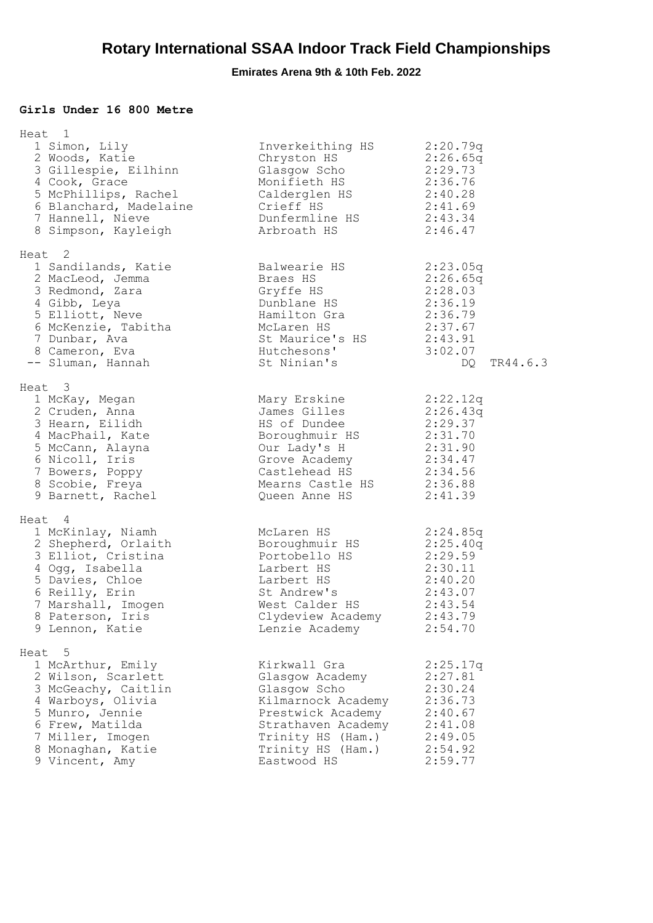#### **Girls Under 16 800 Metre**

| Heat 1                                                                                                                                                                                         |                                                                                                                                                                                    |                                                                                                  |
|------------------------------------------------------------------------------------------------------------------------------------------------------------------------------------------------|------------------------------------------------------------------------------------------------------------------------------------------------------------------------------------|--------------------------------------------------------------------------------------------------|
| 1 Simon, Lily<br>2 Woods, Katie<br>3 Gillespie, Eilhinn<br>4 Cook, Grace<br>5 McPhillips, Rachel<br>6 Blanchard, Madelaine<br>7 Hannell, Nieve<br>8 Simpson, Kayleigh                          | Inverkeithing HS<br>Chryston HS<br>Glasgow Scho<br>Monifieth HS<br>Calderglen HS 2:40.28<br>Crieff HS<br>Dunfermline HS<br>Arbroath HS                                             | 2:20.79q<br>2:26.65q<br>2:29.73<br>2:36.76<br>2:41.69<br>2:43.34<br>2:46.47                      |
| Heat 2<br>1 Sandilands, Katie<br>2 MacLeod, Jemma<br>3 Redmond, Zara<br>4 Gibb, Leya<br>5 Elliott, Neve<br>6 McKenzie, Tabitha<br>7 Dunbar, Ava<br>8 Cameron, Eva<br>-- Sluman, Hannah         | Balwearie HS<br>Braes HS<br>Gryffe HS<br>Dunblane HS<br>Hamilton Gra<br>McLaren HS<br>St Maurice's HS 2:43.91<br>Hutchesons'<br>St Ninian's                                        | 2:23.05q<br>2:26.65q<br>2:28.03<br>2:36.19<br>2:36.79<br>2:37.67<br>3:02.07<br>TR44.6.3<br>DQ    |
| Heat 3<br>1 McKay, Megan<br>2 Cruden, Anna<br>3 Hearn, Eilidh<br>4 MacPhail, Kate<br>5 McCann, Alayna<br>6 Nicoll, Iris<br>7 Bowers, Poppy<br>8 Scobie, Freya<br>9 Barnett, Rachel             | Mary Erskine<br>James Gilles<br>HS of Dundee<br>Boroughmuir HS<br>Our Lady's H<br>Grove Academy<br>Castlehead $\overline{HS}$ 2:34.56<br>Mearns Castle HS 2:36.88<br>Queen Anne HS | 2:22.12q<br>2:26.43q<br>2:29.37<br>2:31.70<br>2:31.90<br>2:34.47<br>2:41.39                      |
| Heat 4<br>1 McKinlay, Niamh<br>2 Shepherd, Orlaith<br>3 Elliot, Cristina<br>4 Ogg, Isabella<br>5 Davies, Chloe<br>6 Reilly, Erin<br>7 Marshall, Imogen<br>8 Paterson, Iris<br>9 Lennon, Katie  | McLaren HS<br>Boroughmuir HS<br>Portobello HS 2:29.59<br>Larbert HS<br>Larbert HS<br>St Andrew's<br>West Calder HS 2:43.54<br>Clydeview Academy<br>Lenzie Academy                  | 2:24.85q<br>2:25.40q<br>2:30.11<br>2:40.20<br>2:43.07<br>2:43.79<br>2:54.70                      |
| Heat 5<br>1 McArthur, Emily<br>2 Wilson, Scarlett<br>3 McGeachy, Caitlin<br>4 Warboys, Olivia<br>5 Munro, Jennie<br>6 Frew, Matilda<br>7 Miller, Imogen<br>8 Monaghan, Katie<br>9 Vincent, Amy | Kirkwall Gra<br>Glasgow Academy<br>Glasgow Scho<br>Kilmarnock Academy<br>Prestwick Academy<br>Strathaven Academy<br>Trinity HS (Ham.)<br>Trinity HS (Ham.)<br>Eastwood HS          | 2:25.17q<br>2:27.81<br>2:30.24<br>2:36.73<br>2:40.67<br>2:41.08<br>2:49.05<br>2:54.92<br>2:59.77 |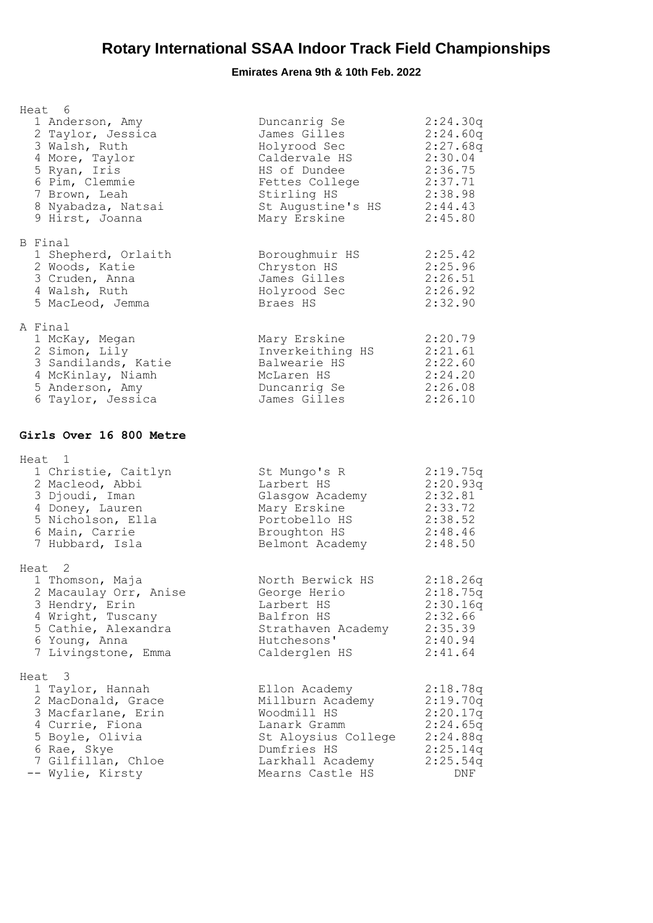| Heat 6<br>1 Anderson, Amy<br>2 Taylor, Jessica<br>3 Walsh, Ruth<br>4 More, Taylor<br>5 Ryan, Iris<br>6 Pim, Clemmie<br>7 Brown, Leah<br>8 Nyabadza, Natsai<br>9 Hirst, Joanna | Duncanrig Se<br>James Gilles<br>Holyrood Sec<br>Caldervale HS<br>HS of Dundee<br>Fettes College<br>Stirling HS<br>St Augustine's HS 2:44.43<br>Mary Erskine | 2:24.30q<br>2:24.60q<br>2:27.68q<br>2:30.04<br>2:36.75<br>2:37.71<br>2:38.98<br>2:45.80 |
|-------------------------------------------------------------------------------------------------------------------------------------------------------------------------------|-------------------------------------------------------------------------------------------------------------------------------------------------------------|-----------------------------------------------------------------------------------------|
| B Final<br>1 Shepherd, Orlaith<br>2 Woods, Katie<br>3 Cruden, Anna<br>4 Walsh, Ruth<br>5 MacLeod, Jemma                                                                       | Boroughmuir HS<br>Chryston HS<br>James Gilles<br>Holyrood Sec<br>Braes HS                                                                                   | 2:25.42<br>2:25.96<br>2:26.51<br>2:26.92<br>2:32.90                                     |
| A Final<br>1 McKay, Megan<br>2 Simon, Lily<br>3 Sandilands, Katie<br>4 McKinlay, Niamh<br>5 Anderson, Amy<br>6 Taylor, Jessica                                                | Mary Erskine<br>Inverkeithing HS 2:21.61<br>Balwearie HS<br>McLaren HS<br>Duncanrig Se<br>James Gilles                                                      | 2:20.79<br>2:22.60<br>2:24.20<br>2:26.08<br>2:26.10                                     |
| Girls Over 16 800 Metre                                                                                                                                                       |                                                                                                                                                             |                                                                                         |
| Heat 1<br>1 Christie, Caitlyn<br>2 Macleod, Abbi<br>3 Djoudi, Iman<br>4 Doney, Lauren<br>5 Nicholson, Ella<br>6 Main, Carrie<br>7 Hubbard, Isla                               | St Mungo's R<br>Larbert HS<br>Glasgow Academy<br>Mary Erskine<br>Portobello HS<br>Broughton HS<br>Belmont Academy                                           | 2:19.75q<br>2:20.93q<br>2:32.81<br>2:33.72<br>2:38.52<br>2:48.46<br>2:48.50             |
| Heat <sub>2</sub><br>1 Thomson, Maja<br>2 Macaulay Orr, Anise<br>3 Hendry, Erin<br>4 Wright, Tuscany<br>5 Cathie, Alexandra<br>6 Young, Anna<br>7 Livingstone, Emma           | North Berwick HS<br>George Herio<br>Larbert HS<br>Balfron HS<br>Strathaven Academy<br>Hutchesons'<br>Calderglen HS                                          | 2:18.26q<br>2:18.75q<br>2:30.16q<br>2:32.66<br>2:35.39<br>2:40.94<br>2:41.64            |
| Heat 3<br>1 Taylor, Hannah<br>2 MacDonald, Grace<br>3 Macfarlane, Erin<br>4 Currie, Fiona<br>5 Boyle, Olivia<br>6 Rae, Skye<br>7 Gilfillan, Chloe<br>-- Wylie, Kirsty         | Ellon Academy<br>Millburn Academy<br>Woodmill HS<br>Lanark Gramm<br>St Aloysius College<br>Dumfries HS<br>Larkhall Academy<br>Mearns Castle HS              | 2:18.78q<br>2:19.70q<br>2:20.17q<br>2:24.65q<br>2:24.88q<br>2:25.14q<br>2:25.54q<br>DNF |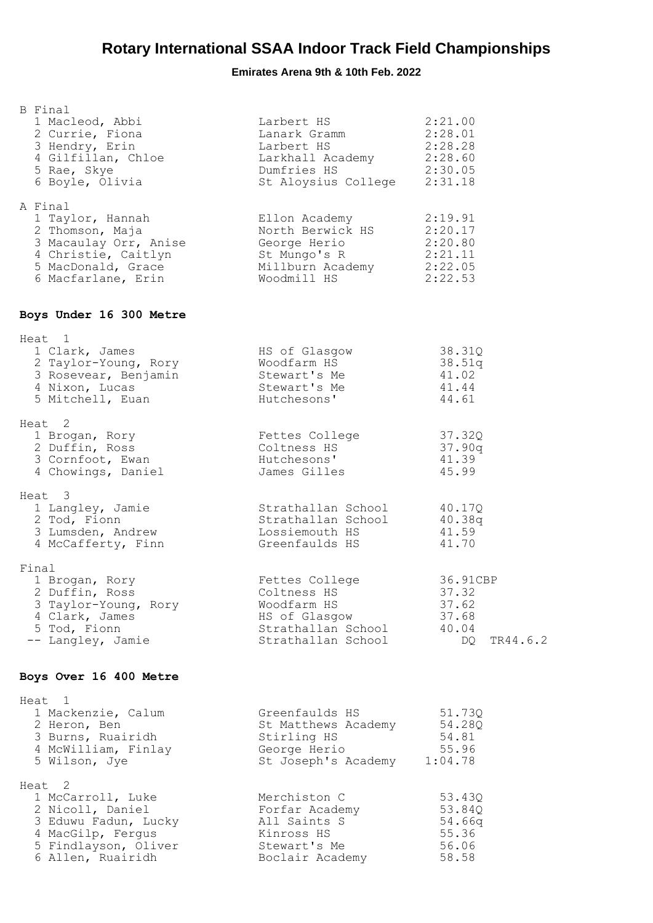| <b>B</b> Final<br>1 Macleod, Abbi<br>2 Currie, Fiona<br>3 Hendry, Erin<br>4 Gilfillan, Chloe<br>5 Rae, Skye<br>6 Boyle, Olivia                       | Larbert HS<br>Lanser Cramm<br>Lansert HS 2:28.01<br>Larbert HS 2:28.28<br>Larkhall Academy 2:28.60<br>Dumfries HS 2:30.05<br>St Aloysius College | 2:21.00<br>2:31.18                                                |
|------------------------------------------------------------------------------------------------------------------------------------------------------|--------------------------------------------------------------------------------------------------------------------------------------------------|-------------------------------------------------------------------|
| A Final<br>1 Taylor, Hannah<br>2 Thomson, Maja<br>3 Macaulay Orr, Anise<br>4 Christie, Caitlyn<br>5 MacDonald, Grace<br>6 Macfarlane, Erin           | Ellon Academy<br>North Berwick HS 2:20.17<br>George Herio 2:20.80<br>St Mungo's R<br>Millburn Academy 2:22.05<br>Woodmill HS 2:22.53             | 2:19.91<br>2:21.11                                                |
| Boys Under 16 300 Metre                                                                                                                              |                                                                                                                                                  |                                                                   |
| Heat 1<br>1 Clark, James<br>2 Taylor-Young, Rory<br>3 Rosevear, Benjamin<br>John Lucas<br>5 Mitchell, Euan                                           | HS of Glasgow<br>Woodfarm HS<br>Stewart's Me<br>Stewart's Me<br>Hutchesons'                                                                      | 38.31Q<br>38.51q<br>41.02<br>41.44<br>44.61                       |
| Heat 2<br>1 Brogan, Rory<br>2 Duffin, Ross<br>3 Cornfoot, Ewan<br>4 Chowings, Daniel                                                                 | Fettes College<br>Coltness HS<br>Hutchesons'<br>James Gilles                                                                                     | 37.32Q<br>37.90q<br>41.39<br>45.99                                |
| Heat 3<br>1 Langley, Jamie<br>2 Tod, Fionn<br>3 Lumsden, Andrew<br>4 McCafferty, Finn                                                                | Strathallan School<br>Strathallan School 40.38q<br>Lossiemouth HS<br>Greenfaulds HS                                                              | 40.17Q<br>41.59<br>41.70                                          |
| Final<br>1 Brogan, Rory<br>2 Duffin, Ross<br>3 Taylor-Young, Rory<br>4 Clark, James<br>5 Tod, Fionn<br>-- Langley, Jamie                             | Fettes College<br>Coltness HS<br>Woodfarm HS<br>HS of Glasgow<br>Strathallan School<br>Strathallan School                                        | 36.91CBP<br>37.32<br>37.62<br>37.68<br>40.04<br>DQ DO<br>TR44.6.2 |
| Boys Over 16 400 Metre                                                                                                                               |                                                                                                                                                  |                                                                   |
| Heat 1<br>1 Mackenzie, Calum<br>2 Heron, Ben<br>3 Burns, Ruairidh<br>4 McWilliam, Finlay<br>5 Wilson, Jye                                            | Greenfaulds HS<br>St Matthews Academy<br>Stirling HS<br>George Herio<br>St Joseph's Academy                                                      | 51.73Q<br>54.28Q<br>54.81<br>55.96<br>1:04.78                     |
| Heat <sub>2</sub><br>1 McCarroll, Luke<br>2 Nicoll, Daniel<br>3 Eduwu Fadun, Lucky<br>4 MacGilp, Fergus<br>5 Findlayson, Oliver<br>6 Allen, Ruairidh | Merchiston C<br>Forfar Academy<br>All Saints S<br>Kinross HS<br>Stewart's Me<br>Boclair Academy                                                  | 53.43Q<br>53.84Q<br>54.66q<br>55.36<br>56.06<br>58.58             |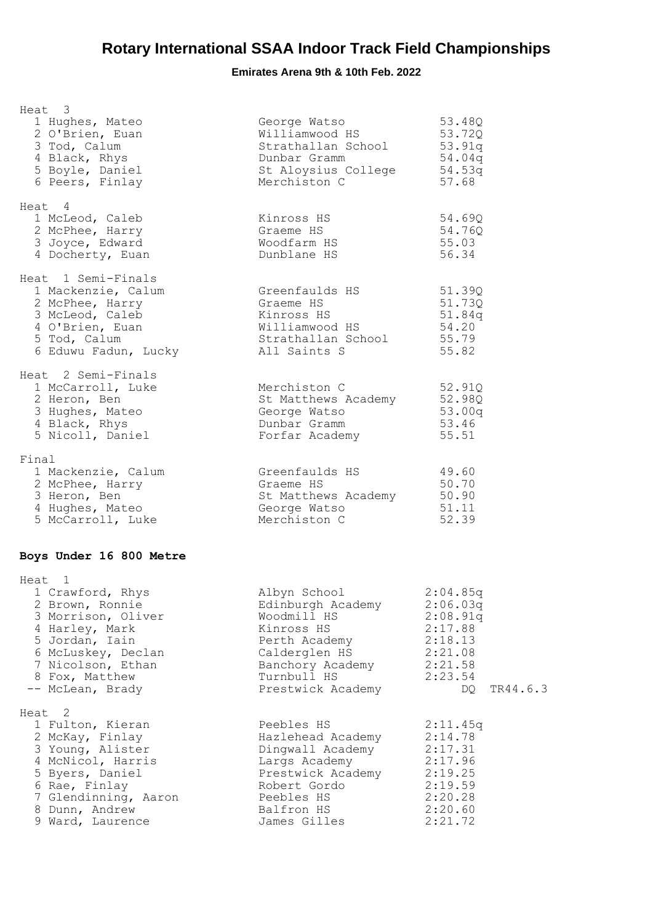| Heat 3                                                                                                                                                                                   |                                                                                                                                                          |                                                                                                           |  |
|------------------------------------------------------------------------------------------------------------------------------------------------------------------------------------------|----------------------------------------------------------------------------------------------------------------------------------------------------------|-----------------------------------------------------------------------------------------------------------|--|
| 1 Hughes, Mateo<br>2 O'Brien, Euan<br>3 Tod, Calum<br>4 Black, Rhys<br>5 Boyle, Daniel<br>6 Peers, Finlay                                                                                | George Watso<br>Williamwood HS<br>Strathallan School<br>Dunbar Gramm<br>St Aloysius College 54.53q<br>Merchiston C                                       | 53.48Q<br>53.72Q<br>53.91q<br>54.04q<br>57.68                                                             |  |
| Heat 4<br>1 McLeod, Caleb<br>2 McPhee, Harry<br>3 Joyce, Edward<br>4 Docherty, Euan                                                                                                      | Kinross HS<br>Graeme HS<br>Woodfarm HS<br>Dunblane HS                                                                                                    | 54.69Q<br>54.760<br>55.03<br>56.34                                                                        |  |
| Heat 1 Semi-Finals<br>1 Mackenzie, Calum<br>2 McPhee, Harry<br>3 McLeod, Caleb<br>4 O'Brien, Euan<br>5 Tod, Calum<br>6 Eduwu Fadun, Lucky                                                | Greenfaulds HS<br>Graeme HS<br>Kinross HS<br>Williamwood HS<br>Strathallan School<br>All Saints S                                                        | 51.39Q<br>51.73Q<br>51.84g<br>54.20<br>55.79<br>55.82                                                     |  |
| Heat 2 Semi-Finals<br>1 McCarroll, Luke<br>2 Heron, Ben<br>3 Hughes, Mateo<br>4 Black, Rhys<br>5 Nicoll, Daniel                                                                          | Merchiston C<br>St Matthews Academy<br>George Watso<br>Dunbar Gramm<br>Forfar Academy                                                                    | 52.91Q<br>52.98Q<br>53.00q<br>53.46<br>55.51                                                              |  |
| Final<br>1 Mackenzie, Calum<br>2 McPhee, Harry<br>3 Heron, Ben<br>4 Hughes, Mateo<br>5 McCarroll, Luke                                                                                   | Greenfaulds HS<br>Graeme HS<br>St Matthews Academy<br>George Watso<br>Merchiston C<br>Merchiston C                                                       | 49.60<br>50.70<br>50.90<br>51.11<br>52.39                                                                 |  |
| Boys Under 16 800 Metre                                                                                                                                                                  |                                                                                                                                                          |                                                                                                           |  |
| Heat 1<br>1 Crawford, Rhys<br>2 Brown, Ronnie<br>3 Morrison, Oliver<br>4 Harley, Mark<br>5 Jordan, Iain<br>6 McLuskey, Declan<br>7 Nicolson, Ethan<br>8 Fox, Matthew<br>-- McLean, Brady | Albyn School<br>Edinburgh Academy<br>Woodmill HS<br>Kinross HS<br>Perth Academy<br>Calderglen HS<br>Banchory Academy<br>Turnbull HS<br>Prestwick Academy | 2:04.85q<br>2:06.03q<br>2:08.91q<br>2:17.88<br>2:18.13<br>2:21.08<br>2:21.58<br>2:23.54<br>TR44.6.3<br>DQ |  |
| Heat 2<br>1 Fulton, Kieran<br>2 McKay, Finlay<br>3 Young, Alister<br>4 McNicol, Harris<br>5 Byers, Daniel<br>6 Rae, Finlay<br>7 Glendinning, Aaron<br>8 Dunn, Andrew<br>9 Ward, Laurence | Peebles HS<br>Hazlehead Academy<br>Dingwall Academy<br>Largs Academy<br>Prestwick Academy<br>Robert Gordo<br>Peebles HS<br>Balfron HS<br>James Gilles    | 2:11.45q<br>2:14.78<br>2:17.31<br>2:17.96<br>2:19.25<br>2:19.59<br>2:20.28<br>2:20.60<br>2:21.72          |  |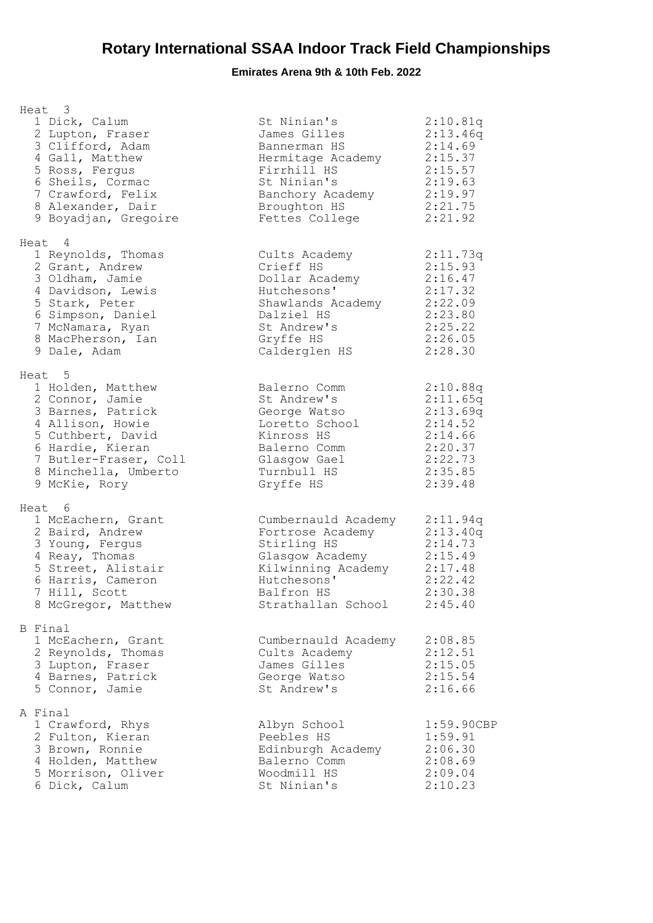| Heat 3<br>1 Dick, Calum<br>2 Lupton, Fraser<br>3 Clifford, Adam<br>4 Gall, Matthew<br>5 Ross, Fergus<br>6 Sheils, Cormac<br>7 Crawford, Felix<br>8 Alexander, Dair<br>9 Boyadjan, Gregoire         | St Ninian's<br>James Gilles<br>Bannerman HS<br>Hermitage Academy<br>Firrhill HS<br>St Ninian's<br>Banchory Academy<br>Broughton HS<br>Fettes College | 2:10.81q<br>2:13.46q<br>2:14.69<br>2:15.37<br>2:15.57<br>2:19.63<br>2:19.97<br>2:21.75<br>2:21.92  |
|----------------------------------------------------------------------------------------------------------------------------------------------------------------------------------------------------|------------------------------------------------------------------------------------------------------------------------------------------------------|----------------------------------------------------------------------------------------------------|
| Heat 4<br>1 Reynolds, Thomas<br>2 Grant, Andrew<br>3 Oldham, Jamie<br>4 Davidson, Lewis<br>5 Stark, Peter<br>6 Simpson, Daniel<br>7 McNamara, Ryan<br>8 MacPherson, Ian<br>9 Dale, Adam            | Cults Academy<br>Crieff HS<br>Dollar Academy<br>Hutchesons'<br>Shawlands Academy<br>Dalziel HS<br>St Andrew's<br>Gryffe HS<br>Calderglen HS          | 2:11.73q<br>2:15.93<br>2:16.47<br>2:17.32<br>2:22.09<br>2:23.80<br>2:25.22<br>2:26.05<br>2:28.30   |
| Heat 5<br>1 Holden, Matthew<br>2 Connor, Jamie<br>3 Barnes, Patrick<br>4 Allison, Howie<br>5 Cuthbert, David<br>6 Hardie, Kieran<br>7 Butler-Fraser, Coll<br>8 Minchella, Umberto<br>9 McKie, Rory | Balerno Comm<br>St Andrew's<br>George Watso<br>Loretto School<br>Kinross HS<br>Balerno Comm<br>Glasgow Gael<br>Turnbull HS<br>Gryffe HS              | 2:10.88q<br>2:11.65q<br>2:13.69q<br>2:14.52<br>2:14.66<br>2:20.37<br>2:22.73<br>2:35.85<br>2:39.48 |
| Heat 6                                                                                                                                                                                             |                                                                                                                                                      |                                                                                                    |
| 1 McEachern, Grant<br>2 Baird, Andrew<br>3 Young, Fergus<br>4 Reay, Thomas<br>5 Street, Alistair<br>6 Harris, Cameron<br>7 Hill, Scott<br>8 McGregor, Matthew                                      | Cumbernauld Academy<br>Fortrose Academy<br>Stirling HS<br>Glasgow Academy<br>Kilwinning Academy<br>Hutchesons'<br>Balfron HS<br>Strathallan School   | 2:11.94q<br>2:13.40q<br>2:14.73<br>2:15.49<br>2:17.48<br>2:22.42<br>2:30.38<br>2:45.40             |
| B Final<br>1 McEachern, Grant<br>2 Reynolds, Thomas<br>3 Lupton, Fraser<br>4 Barnes, Patrick<br>5 Connor, Jamie                                                                                    | Cumbernauld Academy<br>Cults Academy<br>James Gilles<br>George Watso<br>St Andrew's                                                                  | 2:08.85<br>2:12.51<br>2:15.05<br>2:15.54<br>2:16.66                                                |
| A Final<br>1 Crawford, Rhys<br>2 Fulton, Kieran<br>3 Brown, Ronnie<br>4 Holden, Matthew<br>5 Morrison, Oliver<br>6 Dick, Calum                                                                     | Albyn School<br>Peebles HS<br>Edinburgh Academy<br>Balerno Comm<br>Woodmill HS<br>St Ninian's                                                        | 1:59.90CBP<br>1:59.91<br>2:06.30<br>2:08.69<br>2:09.04<br>2:10.23                                  |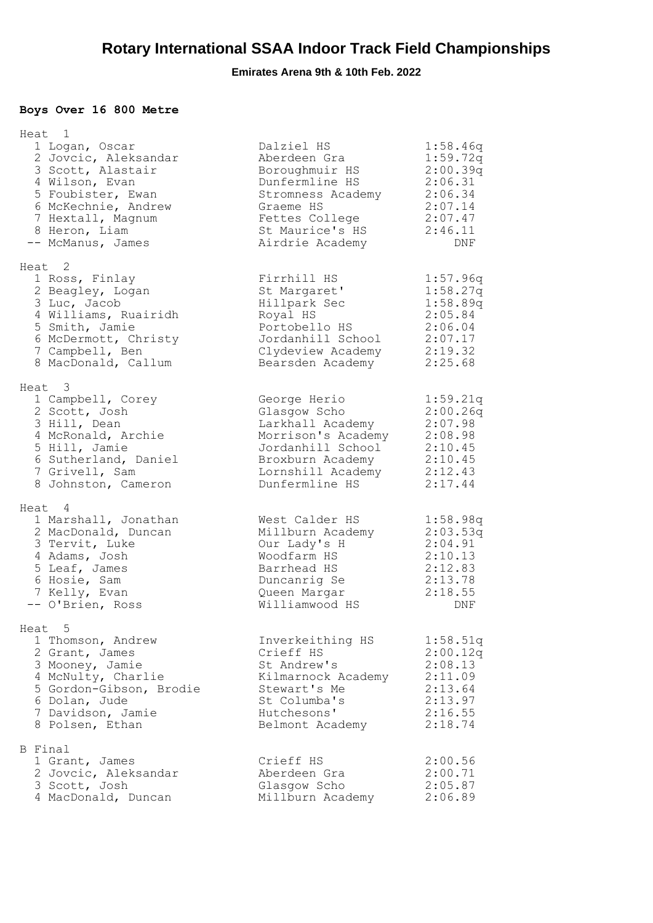## **Boys Over 16 800 Metre**

| Heat 1<br>1 Logan, Oscar<br>2 Jovcic, Aleksandar<br>3 Scott, Alastair<br>4 Wilson, Evan<br>5 Foubister, Ewan<br>6 McKechnie, Andrew<br>7 Hextall, Magnum<br>8 Heron, Liam<br>-- McManus, James | Dalziel HS<br>Aberdeen Gra<br>Boroughmuir HS<br>Dunfermline HS<br>Stromness Academy<br>Graeme HS<br>Fettes College<br>St Maurice's HS<br>Airdrie Academy | 1:58.46q<br>1:59.72q<br>2:00.39q<br>2:06.31<br>2:06.34<br>2:07.14<br>2:07.47<br>2:46.11<br>DNF |
|------------------------------------------------------------------------------------------------------------------------------------------------------------------------------------------------|----------------------------------------------------------------------------------------------------------------------------------------------------------|------------------------------------------------------------------------------------------------|
| Heat 2<br>1 Ross, Finlay<br>2 Beagley, Logan<br>3 Luc, Jacob<br>4 Williams, Ruairidh<br>5 Smith, Jamie<br>6 McDermott, Christy<br>7 Campbell, Ben<br>8 MacDonald, Callum                       | Firrhill HS<br>St Margaret'<br>Hillpark Sec<br>Royal HS<br>Portobello HS<br>Jordanhill School<br>Clydeview Academy<br>Bearsden Academy                   | 1:57.96q<br>1:58.27q<br>1:58.89q<br>2:05.84<br>2:06.04<br>2:07.17<br>2:19.32<br>2:25.68        |
| Heat 3<br>1 Campbell, Corey<br>2 Scott, Josh<br>3 Hill, Dean<br>4 McRonald, Archie<br>5 Hill, Jamie<br>6 Sutherland, Daniel<br>7 Grivell, Sam<br>8 Johnston, Cameron                           | George Herio<br>Glasqow Scho<br>Larkhall Academy<br>Morrison's Academy<br>Jordanhill School<br>Broxburn Academy<br>Lornshill Academy<br>Dunfermline HS   | 1:59.21q<br>2:00.26q<br>2:07.98<br>2:08.98<br>2:10.45<br>2:10.45<br>2:12.43<br>2:17.44         |
| Heat 4<br>1 Marshall, Jonathan<br>2 MacDonald, Duncan<br>3 Tervit, Luke<br>4 Adams, Josh<br>5 Leaf, James<br>6 Hosie, Sam<br>7 Kelly, Evan<br>-- O'Brien, Ross                                 | West Calder HS<br>Millburn Academy<br>Our Lady's H<br>Woodfarm HS<br>Barrhead HS<br>Duncanrig Se<br>Queen Margar<br>Williamwood HS                       | 1:58.98q<br>2:03.53q<br>2:04.91<br>2:10.13<br>2:12.83<br>2:13.78<br>2:18.55<br>DNF             |
| Heat <sub>5</sub><br>1 Thomson, Andrew<br>2 Grant, James<br>3 Mooney, Jamie<br>4 McNulty, Charlie<br>5 Gordon-Gibson, Brodie<br>6 Dolan, Jude<br>7 Davidson, Jamie<br>8 Polsen, Ethan          | Inverkeithing HS<br>Crieff HS<br>St Andrew's<br>Kilmarnock Academy<br>Stewart's Me<br>St Columba's<br>Hutchesons'<br>Belmont Academy                     | 1:58.51q<br>2:00.12q<br>2:08.13<br>2:11.09<br>2:13.64<br>2:13.97<br>2:16.55<br>2:18.74         |
| B Final<br>1 Grant, James<br>2 Jovcic, Aleksandar<br>3 Scott, Josh<br>4 MacDonald, Duncan                                                                                                      | Crieff HS<br>Aberdeen Gra<br>Glasgow Scho<br>Millburn Academy                                                                                            | 2:00.56<br>2:00.71<br>2:05.87<br>2:06.89                                                       |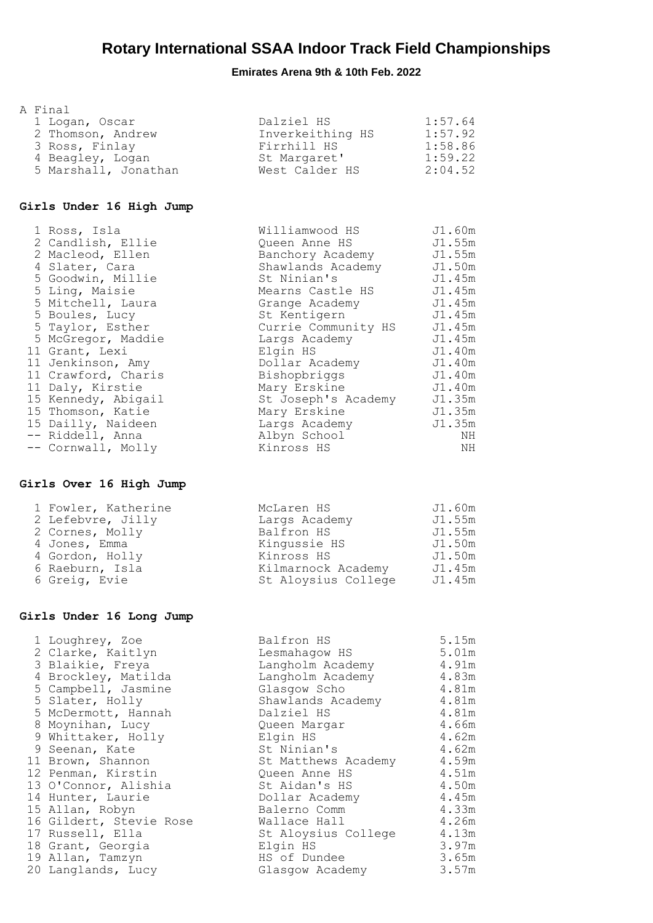### **Emirates Arena 9th & 10th Feb. 2022**

| A Final              |                  |         |
|----------------------|------------------|---------|
| 1 Logan, Oscar       | Dalziel HS       | 1:57.64 |
| 2 Thomson, Andrew    | Inverkeithing HS | 1:57.92 |
| 3 Ross, Finlay       | Firrhill HS      | 1:58.86 |
| 4 Beagley, Logan     | St Margaret'     | 1:59.22 |
| 5 Marshall, Jonathan | West Calder HS   | 2:04.52 |

#### **Girls Under 16 High Jump**

| 1 Ross, Isla        | Williamwood HS      | J1.60m |
|---------------------|---------------------|--------|
| 2 Candlish, Ellie   | Queen Anne HS       | J1.55m |
| 2 Macleod, Ellen    | Banchory Academy    | J1.55m |
| 4 Slater, Cara      | Shawlands Academy   | J1.50m |
| 5 Goodwin, Millie   | St Ninian's         | J1.45m |
| 5 Ling, Maisie      | Mearns Castle HS    | J1.45m |
| 5 Mitchell, Laura   | Grange Academy      | J1.45m |
| 5 Boules, Lucy      | St Kentigern        | J1.45m |
| 5 Taylor, Esther    | Currie Community HS | J1.45m |
| 5 McGregor, Maddie  | Largs Academy       | J1.45m |
| 11 Grant, Lexi      | Elgin HS            | J1.40m |
| 11 Jenkinson, Amy   | Dollar Academy      | J1.40m |
| 11 Crawford, Charis | Bishopbriggs        | J1.40m |
| 11 Daly, Kirstie    | Mary Erskine        | J1.40m |
| 15 Kennedy, Abigail | St Joseph's Academy | J1.35m |
| 15 Thomson, Katie   | Mary Erskine        | J1.35m |
| 15 Dailly, Naideen  | Largs Academy       | J1.35m |
| -- Riddell, Anna    | Albyn School        | ΝH     |
| -- Cornwall, Molly  | Kinross HS          | ΝH     |

#### **Girls Over 16 High Jump**

| 1 Fowler, Katherine | McLaren HS          | J1.60m |
|---------------------|---------------------|--------|
| 2 Lefebvre, Jilly   | Largs Academy       | J1.55m |
| 2 Cornes, Molly     | Balfron HS          | J1.55m |
| 4 Jones, Emma       | Kingussie HS        | J1.50m |
| 4 Gordon, Holly     | Kinross HS          | J1.50m |
| 6 Raeburn, Isla     | Kilmarnock Academy  | J1.45m |
| 6 Greig, Evie       | St Aloysius College | J1.45m |

#### **Girls Under 16 Long Jump**

|  | 1 Loughrey, Zoe         | Balfron HS              | 5.15m |
|--|-------------------------|-------------------------|-------|
|  | 2 Clarke, Kaitlyn       | Lesmahagow HS           | 5.01m |
|  | 3 Blaikie, Freya        | Langholm Academy        | 4.91m |
|  | 4 Brockley, Matilda     | Langholm Academy        | 4.83m |
|  | 5 Campbell, Jasmine     | Glasgow Scho            | 4.81m |
|  | 5 Slater, Holly         | Shawlands Academy 4.81m |       |
|  | 5 McDermott, Hannah     | Dalziel HS              | 4.81m |
|  | 8 Moynihan, Lucy        | Queen Margar            | 4.66m |
|  | 9 Whittaker, Holly      | Elgin HS                | 4.62m |
|  | 9 Seenan, Kate          | St Ninian's             | 4.62m |
|  | 11 Brown, Shannon       | St Matthews Academy     | 4.59m |
|  | 12 Penman, Kirstin      | Queen Anne HS           | 4.51m |
|  | 13 O'Connor, Alishia    | St Aidan's HS           | 4.50m |
|  | 14 Hunter, Laurie       | Dollar Academy          | 4.45m |
|  | 15 Allan, Robyn         | Balerno Comm            | 4.33m |
|  | 16 Gildert, Stevie Rose | Wallace Hall            | 4.26m |
|  | 17 Russell, Ella        | St Aloysius College     | 4.13m |
|  | 18 Grant, Georgia       | Elgin HS                | 3.97m |
|  | 19 Allan, Tamzyn        | HS of Dundee            | 3.65m |
|  | 20 Langlands, Lucy      | Glasgow Academy         | 3.57m |
|  |                         |                         |       |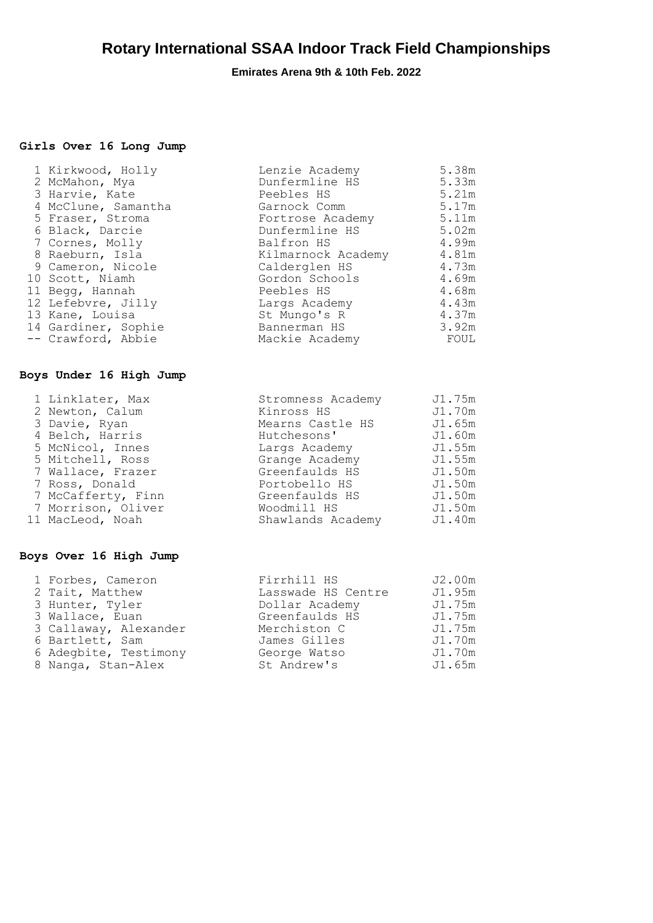### **Emirates Arena 9th & 10th Feb. 2022**

### **Girls Over 16 Long Jump**

|  | 1 Kirkwood, Holly   | Lenzie Academy     | 5.38m |
|--|---------------------|--------------------|-------|
|  | 2 McMahon, Mya      | Dunfermline HS     | 5.33m |
|  | 3 Harvie, Kate      | Peebles HS         | 5.21m |
|  | 4 McClune, Samantha | Garnock Comm       | 5.17m |
|  | 5 Fraser, Stroma    | Fortrose Academy   | 5.11m |
|  | 6 Black, Darcie     | Dunfermline HS     | 5.02m |
|  | 7 Cornes, Molly     | Balfron HS         | 4.99m |
|  | 8 Raeburn, Isla     | Kilmarnock Academy | 4.81m |
|  | 9 Cameron, Nicole   | Calderglen HS      | 4.73m |
|  | 10 Scott, Niamh     | Gordon Schools     | 4.69m |
|  | 11 Begg, Hannah     | Peebles HS         | 4.68m |
|  | 12 Lefebvre, Jilly  | Largs Academy      | 4.43m |
|  | 13 Kane, Louisa     | St Mungo's R       | 4.37m |
|  | 14 Gardiner, Sophie | Bannerman HS       | 3.92m |
|  | -- Crawford, Abbie  | Mackie Academy     | FOUL  |
|  |                     |                    |       |

#### **Boys Under 16 High Jump**

|  | 1 Linklater, Max   | Stromness Academy | J1.75m |
|--|--------------------|-------------------|--------|
|  | 2 Newton, Calum    | Kinross HS        | J1.70m |
|  | 3 Davie, Ryan      | Mearns Castle HS  | J1.65m |
|  | 4 Belch, Harris    | Hutchesons'       | J1.60m |
|  | 5 McNicol, Innes   | Largs Academy     | J1.55m |
|  | 5 Mitchell, Ross   | Grange Academy    | J1.55m |
|  | 7 Wallace, Frazer  | Greenfaulds HS    | J1.50m |
|  | 7 Ross, Donald     | Portobello HS     | J1.50m |
|  | 7 McCafferty, Finn | Greenfaulds HS    | J1.50m |
|  | 7 Morrison, Oliver | Woodmill HS       | J1.50m |
|  | 11 MacLeod, Noah   | Shawlands Academy | J1.40m |
|  |                    |                   |        |

#### **Boys Over 16 High Jump**

| 1 Forbes, Cameron     | Firrhill HS        | J2.00m |
|-----------------------|--------------------|--------|
| 2 Tait, Matthew       | Lasswade HS Centre | J1.95m |
| 3 Hunter, Tyler       | Dollar Academy     | J1.75m |
| 3 Wallace, Euan       | Greenfaulds HS     | J1.75m |
| 3 Callaway, Alexander | Merchiston C       | J1.75m |
| 6 Bartlett, Sam       | James Gilles       | J1.70m |
| 6 Adegbite, Testimony | George Watso       | J1.70m |
| 8 Nanga, Stan-Alex    | St Andrew's        | J1.65m |